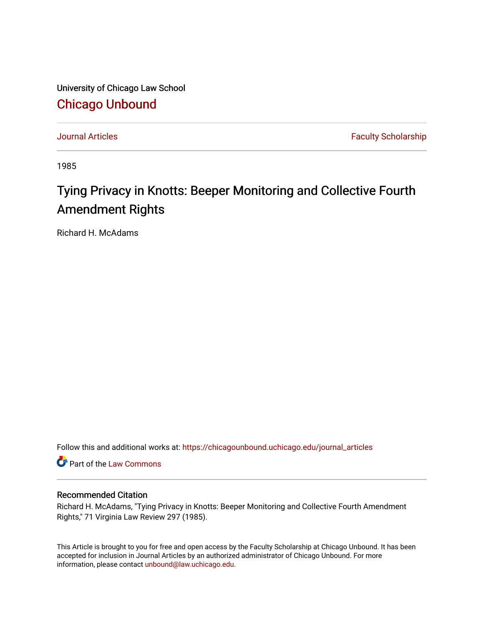University of Chicago Law School [Chicago Unbound](https://chicagounbound.uchicago.edu/)

[Journal Articles](https://chicagounbound.uchicago.edu/journal_articles) **Faculty Scholarship Journal Articles** 

1985

# Tying Privacy in Knotts: Beeper Monitoring and Collective Fourth Amendment Rights

Richard H. McAdams

Follow this and additional works at: [https://chicagounbound.uchicago.edu/journal\\_articles](https://chicagounbound.uchicago.edu/journal_articles?utm_source=chicagounbound.uchicago.edu%2Fjournal_articles%2F7311&utm_medium=PDF&utm_campaign=PDFCoverPages) 

Part of the [Law Commons](http://network.bepress.com/hgg/discipline/578?utm_source=chicagounbound.uchicago.edu%2Fjournal_articles%2F7311&utm_medium=PDF&utm_campaign=PDFCoverPages)

# Recommended Citation

Richard H. McAdams, "Tying Privacy in Knotts: Beeper Monitoring and Collective Fourth Amendment Rights," 71 Virginia Law Review 297 (1985).

This Article is brought to you for free and open access by the Faculty Scholarship at Chicago Unbound. It has been accepted for inclusion in Journal Articles by an authorized administrator of Chicago Unbound. For more information, please contact [unbound@law.uchicago.edu](mailto:unbound@law.uchicago.edu).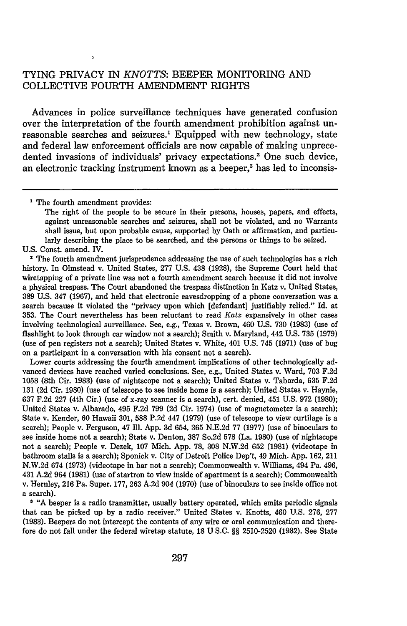# TYING PRIVACY IN *KNOTTS:* BEEPER MONITORING AND COLLECTIVE FOURTH AMENDMENT RIGHTS

Advances in police surveillance techniques have generated confusion over the interpretation of the fourth amendment prohibition against unreasonable searches and seizures.1 Equipped with new technology, state and federal law enforcement officials are now capable of making unprecedented invasions of individuals' privacy expectations.<sup>2</sup> One such device, an electronic tracking instrument known as a beeper,<sup>3</sup> has led to inconsis-

<sup>1</sup> The fourth amendment provides:

 $\ddot{\phantom{0}}$ 

U.S. Const. amend. IV.

**2** The fourth amendment jurisprudence addressing the use of such technologies has a rich history. In Olmstead v. United States, 277 U.S. 438 (1928), the Supreme Court held that wiretapping of a private line was not a fourth amendment search because it did not involve a physical trespass. The Court abandoned the trespass distinction in Katz v. United States, 389 U.S. 347 (1967), and held that electronic eavesdropping of a phone conversation was a search because it violated the "privacy upon which [defendant] justifiably relied." Id. at **353.** The Court nevertheless has been reluctant to read *Katz* expansively in other cases involving technological surveillance. See, e.g., Texas v. Brown, 460 U.S. **730** (1983) (use of flashlight to look through car window not a search); Smith v. Maryland, 442 U.S. 735 (1979) (use of pen registers not a search); United States v. White, 401 U.S. 745 (1971) (use of bug on a participant in a conversation with his consent not a search).

Lower courts addressing the fourth amendment implications of other technologically advanced devices have reached varied conclusions. See, e.g., United States v. Ward, **703** F.2d **1058** (8th Cir. 1983) (use of nightscope not a search); United States v. Taborda, 635 **F.2d 131 (2d** Cir. **1980)** (use of telescope to see inside home is a search); United States v. Haynie, **637 F.2d** 227 (4th Cir.) (use of x-ray scanner is a search), cert. denied, 451 U.S. 972 (1980); United States v. Albarado, 495 **F.2d 799 (2d** Cir. 1974) (use of magnetometer is a search); State v. Kender, **60** Hawaii **301, 588 P.2d** 447 (1979) (use of telescope to view curtilage is a search); People v. Ferguson, 47 Ill. App. 3d 654, 365 **N.E.2d** 77 (1977) (use of binoculars to see inside home not a search); State v. Denton, **387** So.2d 578 (La. **1980)** (use of nightscope not a search); People v. Dezek, **107** Mich. App. 78, **308** N.W.2d 652 **(1981)** (videotape in bathroom stalls is a search); Sponick v. City of Detroit Police Dep't, 49 Mich. App. 162, 211 N.W.2d 674 **(1973)** (videotape in bar not a search); Commonwealth v. Williams, 494 Pa. 496, 431 **A.2d** 964 (1981) (use of startron to view inside of apartment is a search); Commonwealth v. Hernley, **216** Pa. Super. 177, 263 **A.2d** 904 **(1970)** (use of binoculars to see inside office not a search).

**<sup>3</sup>**"A beeper is a radio transmitter, usually battery operated, which emits periodic signals that can be picked up by a radio receiver." United States v. Knotts, 460 U.S. **276, 277 (1983).** Beepers do not intercept the contents of any wire or oral communication and therefore do not fall under the federal wiretap statute, 18 U S.C. §§ **2510-2520** (1982). See State

The right of the people to be secure in their persons, houses, papers, and effects, against unreasonable searches and seizures, shall not be violated, and no Warrants shall issue, but upon probable cause, supported by Oath or affirmation, and particularly describing the place to be searched, and the persons or things to be seized.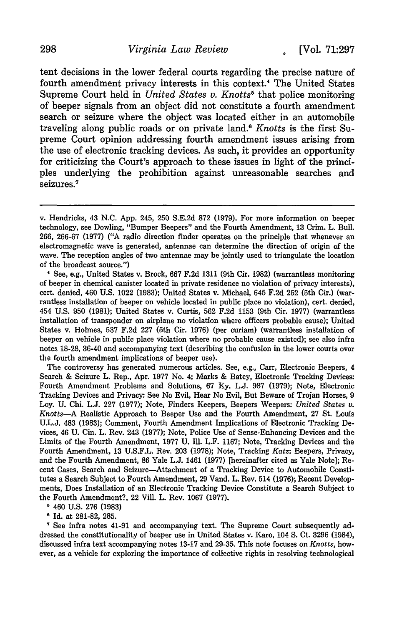tent decisions in the lower federal courts regarding the precise nature of fourth amendment privacy interests in this context.<sup>4</sup> The United States Supreme Court held in *United States v. Knotts*<sup>5</sup> that police monitoring of beeper signals from an object did not constitute a fourth amendment search or seizure where the object was located either in an automobile traveling along public roads or on private land.' *Knotts* is the first Supreme Court opinion addressing fourth amendment issues arising from the use of electronic tracking devices. As such, it provides an opportunity for criticizing the Court's approach to these issues in light of the principles underlying the prohibition against unreasonable searches and seizures.<sup>7</sup>

**I** See, e.g., United States v. Brock, 667 F.2d 1311 (9th Cir. 1982) (warrantless monitoring of beeper in chemical canister located in private residence no violation of privacy interests), cert. denied, 460 U.S. 1022 (1983); United States v. Michael, 645 F.2d 252 (5th Cir.) (warrantless installation of beeper on vehicle located in public place no violation), cert. denied, 454 U.S. 950 (1981); United States v. Curtis, 562 F.2d 1153 (9th Cir. 1977) (warrantless installation of transponder on airplane no violation where officers probable cause); United States v. Holmes, **537** F.2d **227** (5th Cir. 1976) (per curiam) (warrantless installation of beeper on vehicle in public place violation where no probable cause existed); see also infra notes **18-28,** 36-40 and accompanying text (describing the confusion in the lower courts over the fourth amendment implications of beeper use).

The controversy has generated numerous articles. See, e.g., Carr, Electronic Beepers, 4 Search **&** Seizure L. Rep., Apr. **1977** No. 4; Marks & Batey, Electronic Tracking Devices: Fourth Amendment Problems and Solutions, **67 Ky. L.J. 987 (1979);** Note, Electronic Tracking Devices and Privacy: See No Evil, Hear No Evil, But Beware of Trojan Horses, **9** Loy. **U.** Chi. **L.J. 227 (1977);** Note, Finders Keepers, Beepers Weepers: *United States v. Knotts-A* Realistic Approach to Beeper Use and the Fourth Amendment, **27** St. Louis **U.L.J.** 483 **(1983);** Comment, Fourth Amendment Implications of Electronic Tracking Devices, 46 **U. Cin.** L. Rev. 243 **(1977);** Note, Police Use of Sense-Enhancing Devices and the Limits of the Fourth Amendment, **1977 U.** Ill. L.F. **1167;** Note, Tracking Devices and the Fourth Amendment, **13 U.S.F.L.** Rev. **203 (1978);** Note, Tracking *Katz:* Beepers, Privacy, and the Fourth Amendment, **86** Yale **L.J.** 1461 **(1977)** [hereinafter cited as Yale Note]; Recent Cases, Search and Seizure-Attachment of a Tracking Device to Automobile Constitutes a Search Subject to Fourth Amendment, **29** Vand. L. Rev. 514 **(1976);** Recent Developments, Does Installation of an Electronic Tracking Device Constitute a Search Subject to the Fourth Amendment?, 22 Vill. L. Rev. **1067 (1977).**

**5** 460 **U.S. 276 (1983)**

**6** Id. at **281-82, 285.**

**1** See infra notes 41-91 and accompanying text. The Supreme Court subsequently addressed the constitutionality of beeper use in United States v. Karo, 104 **S.** Ct. **3296** (1984), discussed infra text accompanying notes **13-17** and **29-35.** This note focuses on *Knotts,* however, as a vehicle for exploring the importance of collective rights in resolving technological

v. Hendricks, 43 N.C. App. 245, 250 S.E.2d 872 (1979). For more information on beeper technology, see Dowling, "Bumper Beepers" and the Fourth Amendment, 13 Crim. L. Bull. 266, 266-67 (1977) ("A radio direction finder operates on the principle that whenever an electromagnetic wave is generated, antennae can determine the direction of origin of the wave. The reception angles of two antennae may be jointly used to triangulate the location of the broadcast source.")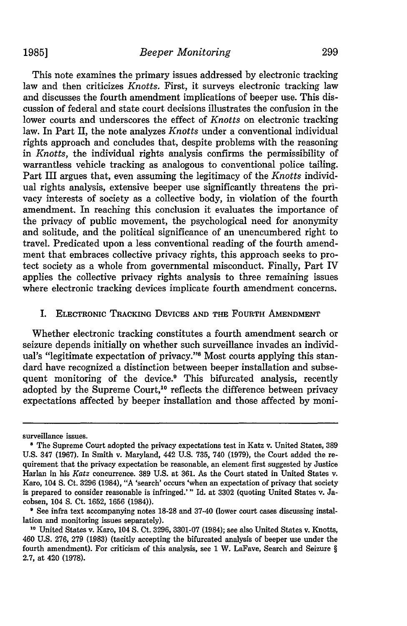**1985]**

This note examines the primary issues addressed by electronic tracking law and then criticizes *Knotts.* First, it surveys electronic tracking law and discusses the fourth amendment implications of beeper use. This discussion of federal and state court decisions illustrates the confusion in the lower courts and underscores the effect of *Knotts* on electronic tracking law. In Part II, the note analyzes *Knotts* under a conventional individual rights approach and concludes that, despite problems with the reasoning in *Knotts,* the individual rights analysis confirms the permissibility of warrantless vehicle tracking as analogous to conventional police tailing. Part III argues that, even assuming the legitimacy of the *Knotts* individual rights analysis, extensive beeper use significantly threatens the privacy interests of society as a collective body, in violation of the fourth amendment. In reaching this conclusion it evaluates the importance of the privacy of public movement, the psychological need for anonymity and solitude, and the political significance of an unencumbered right to travel. Predicated upon a less conventional reading of the fourth amendment that embraces collective privacy rights, this approach seeks to protect society as a whole from governmental misconduct. Finally, Part IV applies the collective privacy rights analysis to three remaining issues where electronic tracking devices implicate fourth amendment concerns.

# I. **ELECTRONIC** TRACKING **DEVICES AND THE FOURTH AMENDMENT**

Whether electronic tracking constitutes a fourth amendment search or seizure depends initially on whether such surveillance invades an individual's "legitimate expectation of privacy."<sup>8</sup> Most courts applying this standard have recognized a distinction between beeper installation and subsequent monitoring of the device.<sup>9</sup> This bifurcated analysis, recently adopted by the Supreme Court,<sup>10</sup> reflects the difference between privacy expectations affected by beeper installation and those affected by moni-

surveillance issues.

**<sup>8</sup>** The Supreme Court adopted the privacy expectations test in Katz v. United States, **389 U.S.** 347 **(1967).** In Smith v. Maryland, 442 **U.S. 735,** 740 **(1979),** the Court added the requirement that the privacy expectation be reasonable, an element first suggested **by** Justice Harlan in his *Katz* concurrence. **389 U.S.** at **361.** As the Court stated in United States v. Karo, 104 **S.** Ct. **3296** (1984), "A 'search' occurs 'when an expectation of privacy that society is prepared to consider reasonable is infringed.'" Id. at **3302** (quoting United States v. Jacobsen, 104 **S.** Ct. **1652, 1656** (1984)).

**<sup>&#</sup>x27;** See infra text accompanying notes **18-28** and 37-40 (lower court cases discussing installation and monitoring issues separately).

**<sup>10</sup>**United States v. Karo, 104 **S.** Ct. **3296, 3301-07** (1984); see also United States v. Knotts, 460 **U.S. 276, 279 (1983)** (tacitly accepting the bifurcated analysis of beeper use under the fourth amendment). For criticism of this analysis, see **1** W. **LaFave, Search and Seizure** *§* **2.7,** at 420 **(1978).**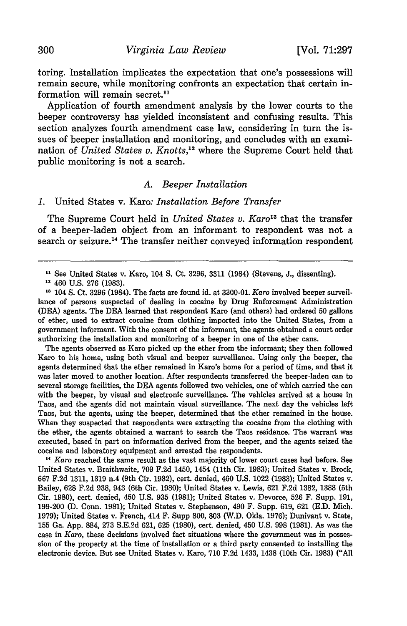toring. Installation implicates the expectation that one's possessions will remain secure, while monitoring confronts an expectation that certain information will remain secret.11

Application of fourth amendment analysis by the lower courts to the beeper controversy has yielded inconsistent and confusing results. This section analyzes fourth amendment case law, considering in turn the issues of beeper installation and monitoring, and concludes with an examination of *United States v. Knotts*,<sup>12</sup> where the Supreme Court held that public monitoring is not a search.

#### *A. Beeper Installation*

#### *1.* United States v. Karo: *Installation Before Transfer*

The Supreme Court held in *United States v. Karo*<sup>13</sup> that the transfer of a beeper-laden object from an informant to respondent was not a search or seizure.<sup>14</sup> The transfer neither conveyed information respondent

**12** 460 U.S. 276 (1983).

**'3** 104 S. Ct. 3296 (1984). The facts are found id. at 3300-01. *Karo* involved beeper surveillance of persons suspected of dealing in cocaine by Drug Enforcement Administration (DEA) agents. The DEA learned that respondent Karo (and others) had ordered 50 gallons of ether, used to extract cocaine from clothing imported into the United States, from a government informant. With the consent of the informant, the agents obtained a court order authorizing the installation and monitoring of a beeper in one of the ether cans.

The agents observed as Karo picked up the ether from the informant; they then followed Karo to his home, using both visual and beeper surveillance. Using only the beeper, the agents determined that the ether remained in Karo's home for a period of time, and that it was later moved to another location. After respondents transferred the beeper-laden can to several storage facilities, the DEA agents followed two vehicles, one of which carried the can with the beeper, by visual and electronic surveillance. The vehicles arrived at a house in Taos, and the agents did not maintain visual surveillance. The next day the vehicles left Taos, but the agents, using the beeper, determined that the ether remained in the house. When they suspected that respondents were extracting the cocaine from the clothing with the ether, the agents obtained a warrant to search the Taos residence. The warrant was executed, based in part on information derived from the beeper, and the agents seized the cocaine and laboratory equipment and arrested the respondents.

**<sup>14</sup>***Karo* reached the same result as the vast majority of lower court cases had before. See United States v. Braithwaite, **709 F.2d** 1450, 1454 (11th Cir. **1983);** United States v. Brock, **667 F.2d 1311, 1319** n.4 (9th Cir. **1982),** cert. denied, 460 **U.S.** 1022 **(1983);** United States v. Bailey, **628 F.2d 938,** 943 (6th Cir. **1980);** United States v. Lewis, **621 F.2d 1382, 1388** (5th Cir. **1980),** cert. denied, 450 **U.S. 935 (1981);** United States v. Devorce, **526** F. Supp. **191, 199-200 (D.** Conn. **1981);** United States v. Stephenson, 490 F. Supp. **619, 621 (E.D.** Mich. **1979);** United States v. French, 414 F. Supp **800, 803** (W.D. Okla. **1976);** Dunivant v. State, **155** Ga. **App. 884, 273 S.E.2d 621, 625 (1980),** cert. denied, 450 **U.S. 998 (1981).** As was the case in *Karo,* these decisions involved fact situations where the government was in possession of the property at the time of installation or a third party consented to installing the electronic device. But see United States v. Karo, **710 F.2d** 1433, 1438 (10th Cir. **1983) ("All**

**<sup>&#</sup>x27;** See United States v. Karo, 104 **S.** Ct. 3296, 3311 (1984) (Stevens, J., dissenting).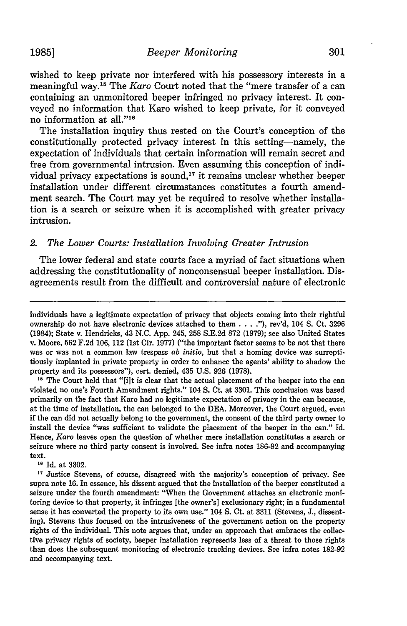wished to keep private nor interfered with his possessory interests in a meaningful way.15 The *Karo* Court noted that the "mere transfer of a can containing an unmonitored beeper infringed no privacy interest. It conveyed no information that Karo wished to keep private, for it conveyed no information at all."<sup>16</sup>

The installation inquiry thus rested on the Court's conception of the constitutionally protected privacy interest in this setting-namely, the expectation of individuals that certain information will remain secret and free from governmental intrusion. Even assuming this conception of individual privacy expectations is sound, $17$  it remains unclear whether beeper installation under different circumstances constitutes a fourth amendment search. The Court may yet be required to resolve whether installation is a search or seizure when it is accomplished with greater privacy intrusion.

# *2. The Lower Courts: Installation Involving Greater Intrusion*

The lower federal and state courts face a myriad of fact situations when addressing the constitutionality of nonconsensual beeper installation. Disagreements result from the difficult and controversial nature of electronic

**<sup>15</sup>**The Court held that "[i]t is clear that the actual placement of the beeper into the can violated no one's Fourth Amendment rights." 104 **S.** Ct. at 3301. This conclusion was based primarily on the fact that Karo had no legitimate expectation of privacy in the can because, at the time of installation, the can belonged to the DEA. Moreover, the Court argued, even if the can did not actually belong to the government, the consent of the third party owner to install the device "was sufficient to validate the placement of the beeper in the can." Id. Hence, *Karo* leaves open the question of whether mere installation constitutes a search or seizure where no third party consent is involved. See infra notes 186-92 and accompanying text.

**<sup>16</sup>**Id. at **3302.**

<sup>17</sup> Justice Stevens, of course, disagreed with the majority's conception of privacy. See supra note **16.** In essence, his dissent argued that the installation of the beeper constituted a seizure under the fourth amendment: "When the Government attaches an electronic monitoring device to that property, it infringes [the owner's] exclusionary right; in a fundamental sense it has converted the property to its own use." 104 **S.** Ct. at **3311** (Stevens, **J.,** dissenting). Stevens thus focused on the intrusiveness of the government action on the property rights of the individual. This note argues that, under an approach that embraces the collective privacy rights of society, beeper installation represents less of a threat to those rights than does the subsequent monitoring of electronic tracking devices. See infra notes **182-92** and accompanying text.

individuals have a legitimate expectation of privacy that objects coming into their rightful ownership do not have electronic devices attached to them **.... "),** rev'd, 104 **S.** Ct. 3296 (1984); State v. Hendricks, 43 N.C. App. 245, 258 S.E.2d 872 (1979); see also United States v. Moore, 562 F.2d 106, 112 (1st Cir. 1977) ("the important factor seems to be not that there was or was not a common law trespass *ab initio,* but that a homing device was surreptitiously implanted in private property in order to enhance the agents' ability to shadow the property and its possessors"), cert. denied, 435 U.S. 926 (1978).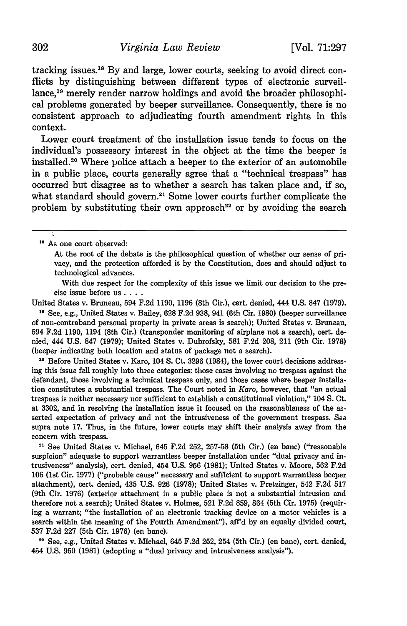tracking issues.<sup>18</sup> By and large, lower courts, seeking to avoid direct conflicts by distinguishing between different types of electronic surveillance,19 merely render narrow holdings and avoid the broader philosophical problems generated by beeper surveillance. Consequently, there is no consistent approach to adjudicating fourth amendment rights in this context.

Lower court treatment of the installation issue tends to focus on the individual's possessory interest in the object at the time the beeper is installed.20 Where police attach a beeper to the exterior of an automobile in a public place, courts generally agree that a "technical trespass" has occurred but disagree as to whether a search has taken place and, if so, what standard should govern.<sup>21</sup> Some lower courts further complicate the problem by substituting their own approach<sup>22</sup> or by avoiding the search

With due respect for the complexity of this issue we limit our decision to the precise issue before us **....**

United States v. Bruneau, 594 F.2d 1190, 1196 (8th Cir.), cert. denied, 444 U.S. 847 (1979). **19** See, e.g., United States v. Bailey, 628 F.2d 938, 941 (6th Cir. 1980) (beeper surveillance of non-contraband personal property in private areas is search); United States v. Bruneau, 594 F.2d 1190, 1194 (8th Cir.) (transponder monitoring of airplane not a search), cert. denied, 444 U.S. 847 (1979); United States v. Dubrofsky, 581 F.2d 208, 211 (9th Cir. 1978) (beeper indicating both location and status of package not a search).

**2** Before United States v. Karo, 104 **S.** Ct. 3296 (1984), the lower court decisions addressing this issue fell roughly into three categories: those cases involving no trespass against the defendant, those involving a technical trespass only, and those cases where beeper installation constitutes a substantial trespass. The Court noted in *Karo,* however, that "an actual trespass is neither necessary nor sufficient to establish a constitutional violation," 104 **S.** Ct. at 3302, and in resolving the installation issue it focused on the reasonableness of the asserted expectation of privacy and not the intrusiveness of the government trespass. See supra note 17. Thus, in the future, lower courts may shift their analysis away from the concern with trespass.

**21** See United States v. Michael, 645 F.2d 252, 257-58 (5th Cir.) (en banc) ("reasonable suspicion" adequate to support warrantless beeper installation under "dual privacy and intrusiveness" analysis), cert. denied, 454 U.S. 956 (1981); United States v. Moore, 562 F.2d **106** (1st Cir. 1977) ("probable cause" necessary and sufficient to support warrantless beeper attachment), cert. denied, 435 U.S. 926 (1978); United States v. Pretzinger, 542 F.2d 517 (9th Cir. 1976) (exterior attachment in a public place is not a substantial intrusion and therefore not a search); United States v. Holmes, 521 F.2d 859, 864 (5th Cir. 1975) (requiring a warrant; "the installation of an electronic tracking device on a motor vehicles is a search within the meaning of the Fourth Amendment"), aff'd by an equally divided court, **537** F.2d 227 (5th Cir. 1976) (en banc).

**<sup>22</sup>**See, e.g., United States v. Michael, 645 F.2d 252, 254 (5th Cir.) (en banc), cert. denied, 454 U.S. 950 (1981) (adopting a "dual privacy and intrusiveness analysis").

**<sup>19</sup>** As one court observed:

At the root of the debate is the philosophical question of whether our sense of privacy, and the protection afforded it by the Constitution, does and should adjust to technological advances.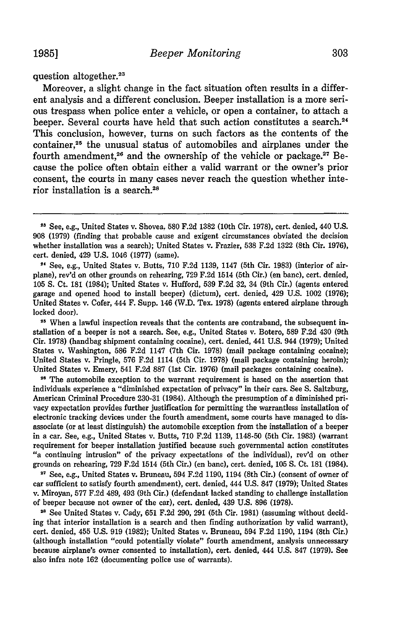question altogether.<sup>23</sup>

Moreover, a slight change in the fact situation often results in a different analysis and a different conclusion. Beeper installation is a more serious trespass when police enter a vehicle, or open a container, to attach a beeper. Several courts have held that such action constitutes a search.<sup>24</sup> This conclusion, however, turns on such factors as the contents of the container,25 the unusual status of automobiles and airplanes under the fourth amendment,<sup>26</sup> and the ownership of the vehicle or package.<sup>27</sup> Because the police often obtain either a valid warrant or the owner's prior consent, the courts in many cases never reach the question whether interior installation is a search.<sup>28</sup>

 $24$  See, e.g., United States v. Butts, 710 F.2d 1139, 1147 (5th Cir. 1983) (interior of airplane), rev'd on other grounds on rehearing, 729 F.2d 1514 (5th Cir.) (en banc), cert. denied, 105 **S.** Ct. **181** (1984); United States v. Hufford, 539 F.2d 32, 34 (9th Cir.) (agents entered garage and opened hood to install beeper) (dictum), cert. denied, 429 U.S. 1002 (1976); United States v. Cofer, 444 F. Supp. 146 (W.D. Tex. 1978) (agents entered airplane through locked door).

<sup>25</sup> When a lawful inspection reveals that the contents are contraband, the subsequent installation of a beeper is not a search. See, e.g., United States v. Botero, **589** F.2d 430 (9th Cir. 1978) (handbag shipment containing cocaine), cert. denied, 441 U.S. 944 (1979); United States v. Washington, **586** F.2d 1147 (7th Cir. 1978) (mail package containing cocaine); United States v. Pringle, 576 F.2d 1114 (5th Cir. 1978) (mail package containing heroin); United States v. Emery, 541 F.2d **887** (1st Cir. 1976) (mail packages containing cocaine).

**2"** The automobile exception to the warrant requirement is based on the assertion that individuals experience a "diminished expectation of privacy" in their cars. See **S.** Saltzburg, American Criminal Procedure **230-31** (1984). Although the presumption of a diminished privacy expectation provides further justification for permitting the warrantless installation of electronic tracking devices under the fourth amendment, some courts have managed to disassociate (or at least distinguish) the automobile exception from the installation of a beeper in a car. See, e.g., United States v. Butts, **710 F.2d 1139,** 1148-50 (5th Cir. **1983)** (warrant requirement for beeper installation justified because such governmental action constitutes "a continuing intrusion" of the privacy expectations of the individual), rev'd on other grounds on rehearing, **729 F.2d** 1514 (5th Cir.) (en banc), cert. denied, **105 S.** Ct. **181** (1984).

2' See, e.g., United States v. Bruneau, 594 **F.2d 1190,** 1194 (8th Cir.) (consent of owner of car sufficient to satisfy fourth amendment), cert. denied, 444 **U.S. 847 (1979);** United States v. Miroyan, **577 F.2d** 489, 493 (9th Cir.) (defendant lacked standing to challenge installation of beeper because not owner of the car), cert. denied, 439 **U.S. 896 (1978).**

21 See United States v. Cady, **651 F.2d 290, 291** (5th Cir. **1981)** (assuming without deciding that interior installation is a search and then finding authorization **by** valid warrant), cert. denied, 455 **U.S. 919 (1982);** United States v. Bruneau, 594 **F.2d 1190,** 1194 (8th Cir.) (although installation "could potentially violate" fourth amendment, analysis unnecessary because airplane's owner consented to installation), cert. denied, 444 **U.S. 847 (1979).** See also infra note **162** (documenting police use of warrants).

**<sup>13</sup>**See, e.g., United States v. Shovea, **580** F.2d 1382 (10th Cir. 1978), cert. denied, 440 U.S. 908 (1979) (finding that probable cause and exigent circumstances obviated the decision whether installation was a search); United States v. Frazier, 538 F.2d 1322 (8th Cir. **1976),** cert. denied, 429 U.S. 1046 (1977) (same).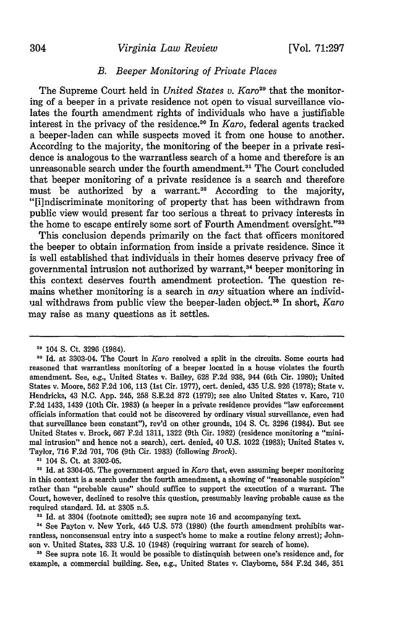# 304 *Virginia Law Review* [Vol. 71:297

## *B. Beeper Monitoring of Private Places*

The Supreme Court held in *United States v. Karo*<sup>29</sup> that the monitoring of a beeper in a private residence not open to visual surveillance violates the fourth amendment rights of individuals who have a justifiable interest in the privacy of the residence.30 In *Karo,* federal agents tracked a beeper-laden can while suspects moved it from one house to another. According to the majority, the monitoring of the beeper in a private residence is analogous to the warrantless search of a home and therefore is an unreasonable search under the fourth amendment.<sup>31</sup> The Court concluded that beeper monitoring of a private residence is a search and therefore must be authorized by a warrant.<sup>32</sup> According to the majority, "[i]ndiscriminate monitoring of property that has been withdrawn from public view would present far too serious a threat to privacy interests in the home to escape entirely some sort of Fourth Amendment oversight."33

This conclusion depends primarily on the fact that officers monitored the beeper to obtain information from inside a private residence. Since it is well established that individuals in their homes deserve privacy free of governmental intrusion not authorized by warrant,<sup>34</sup> beeper monitoring in this context deserves fourth amendment protection. The question remains whether monitoring is a search in *any* situation where an individual withdraws from public view the beeper-laden object.35 In short, *Karo* may raise as many questions as it settles.

**31** 104 **S.** Ct. at 3302-05.

**<sup>32</sup>**Id. at 3304-05. The government argued in *Karo* that, even assuming beeper monitoring in this context is a search under the fourth amendment, a showing of "reasonable suspicion" rather than "probable cause" should suffice to support the execution of a warrant. The Court, however, declined to resolve this question, presumably leaving probable cause as the required standard. Id. at 3305 n.5.

**24** See Payton v. New York, 445 U.S. 573 (1980) (the fourth amendment prohibits warrantless, nonconsensual entry into a suspect's home to make a routine felony arrest); Johnson v. United States, 333 U.S. 10 (1948) (requiring warrant for search of home).

**<sup>35</sup>**See supra note **16.** It would be possible to distinquish between one's residence and, for example, a commercial building. See, e.g., United States v. Clayborne, 584 F.2d 346, 351

<sup>29 104</sup> S. Ct. 3296 (1984).

**<sup>&#</sup>x27;0** Id. at 3303-04. The Court in *Karo* resolved a split in the circuits. Some courts had reasoned that warrantless monitoring of a beeper located in a house violates the fourth amendment. See, e.g., United States v. Bailey, 628 F.2d 938, 944 (6th Cir. 1980); United States v. Moore, 562 F.2d 106, 113 (1st Cir. 1977), cert. denied, 435 U.S. 926 (1978); State v. Hendricks, 43 N.C. App. 245, 258 S.E.2d 872 (1979); see also United States v. Karo, **710** F.2d 1433, 1439 (10th Cir. 1983) (a beeper in a private residence provides "law enforcement officials information that could not be discovered by ordinary visual surveillance, even had that surveillance been constant"), rev'd on other grounds, 104 **S.** Ct. 3296 (1984). But see United States v. Brock, 667 F.2d 1311, 1322 (9th Cir. 1982) (residence monitoring a "minimal intrusion" and hence not a search), cert. denied, 40 U.S. 1022 (1983); United States v. Taylor, 716 F.2d 701, 706 (9th Cir. 1983) (following *Brock).*

<sup>&</sup>lt;sup>33</sup> Id. at 3304 (footnote omitted); see supra note 16 and accompanying text.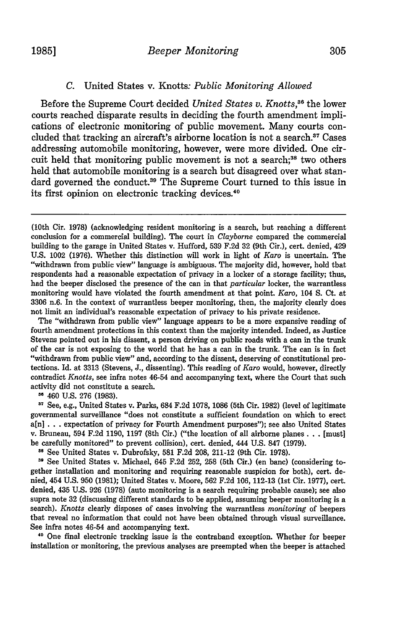#### *C.* United States v. Knotts: *Public Monitoring Allowed*

Before the Supreme Court decided *United States v. Knotts,386* the lower courts reached disparate results in deciding the fourth amendment implications of electronic monitoring of public movement. Many courts concluded that tracking an aircraft's airborne location is not a search.<sup>37</sup> Cases addressing automobile monitoring, however, were more divided. One circuit held that monitoring public movement is not a search;<sup>38</sup> two others held that automobile monitoring is a search but disagreed over what standard governed the conduct.<sup>39</sup> The Supreme Court turned to this issue in its first opinion on electronic tracking devices.<sup>40</sup>

The "withdrawn from public view" language appears to be a more expansive reading of fourth amendment protections in this context than the majority intended. Indeed, as Justice Stevens pointed out in his dissent, a person driving on public roads with a can in the trunk of the car is not exposing to the world that he has a can in the trunk. The can is in fact "withdrawn from public view" and, according to the dissent, deserving of constitutional protections. Id. at 3313 (Stevens, J., dissenting). This reading of *Karo* would, however, directly contradict *Knotts,* see infra notes 46-54 and accompanying text, where the Court that such activity did not constitute a search.

**<sup>36</sup>**460 U.S. 276 (1983).

**<sup>17</sup>**See, e.g., United States v. Parks, 684 F.2d 1078, 1086 (5th Cir. 1982) (level of legitimate governmental surveillance "does not constitute a sufficient foundation on which to erect a[n] . . . expectation of privacy for Fourth Amendment purposes"); see also United States v. Bruneau, 594 F.2d 1190, 1197 (8th Cir.) ("the location of all airborne planes. **.** . [must] be carefully monitored" to prevent collision), cert. denied, 444 U.S. 847 (1979).

**<sup>38</sup>**See United States v. Dubrofsky, 581 F.2d 208, 211-12 (9th Cir. 1978).

**39** See United States v. Michael, 645 F.2d 252, 258 (5th Cir.) (en banc) (considering together installation and monitoring and requiring reasonable suspicion for both), cert. denied, 454 U.S. 950 (1981); United States v. Moore, 562 F.2d 106, 112-13 (1st Cir. 1977), cert. denied, 435 U.S. 926 (1978) (auto monitoring is a search requiring probable cause); see also supra note **32** (discussing different standards to be applied, assuming beeper monitoring is a search). *Knotts* clearly disposes of cases involving the warrantless *monitoring* of beepers that reveal no information that could not have been obtained through visual surveillance. See infra notes 46-54 and accompanying text.

**<sup>40</sup>**One final electronic tracking issue is the contraband exception. Whether for beeper installation or monitoring, the previous analyses are preempted when the beeper is attached

<sup>(10</sup>th Cir. 1978) (acknowledging resident monitoring is a search, but reaching a different conclusion for a commercial building). The court in *Clayborne* compared the commercial building to the garage in United States v. Hufford, 539 F.2d 32 (9th Cir.), cert. denied, 429 U.S. 1002 (1976). Whether this distinction will work in light of *Karo* is uncertain. The "withdrawn from public view" language is ambiguous. The majority did, however, hold that respondents had a reasonable expectation of privacy in a locker of a storage facility; thus, had the beeper disclosed the presence of the can in that *particular* locker, the warrantless monitoring would have violated the fourth amendment at that point. *Karo,* 104 S. Ct. at 3306 n.6. In the context of warrantless beeper monitoring, then, the majority clearly does not limit an individual's reasonable expectation of privacy to his private residence.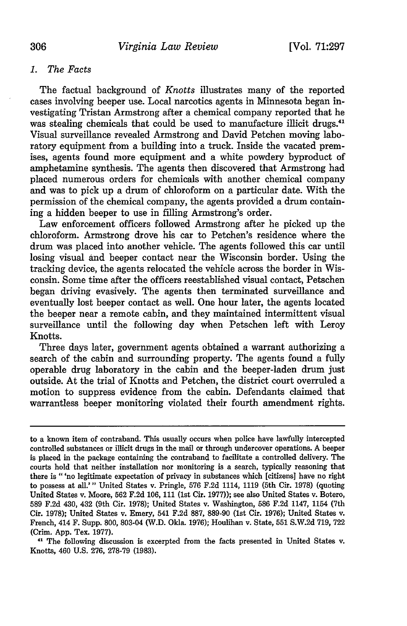## *1. The Facts*

The factual background of *Knotts* illustrates many of the reported cases involving beeper use. Local narcotics agents in Minnesota began investigating Tristan Armstrong after a chemical company reported that he was stealing chemicals that could be used to manufacture illicit drugs.<sup>41</sup> Visual surveillance revealed Armstrong and David Petchen moving laboratory equipment from a building into a truck. Inside the vacated premises, agents found more equipment and a white powdery byproduct of amphetamine synthesis. The agents then discovered that Armstrong had placed numerous orders for chemicals with another chemical company and was to pick up a drum of chloroform on a particular date. With the permission of the chemical company, the agents provided a drum containing a hidden beeper to use in filling Armstrong's order.

Law enforcement officers followed Armstrong after he picked up the chloroform. Armstrong drove his car to Petchen's residence where the drum was placed into another vehicle. The agents followed this car until losing visual and beeper contact near the Wisconsin border. Using the tracking device, the agents relocated the vehicle across the border in Wisconsin. Some time after the officers reestablished visual contact, Petschen began driving evasively. The agents then terminated surveillance and eventually lost beeper contact as well. One hour later, the agents located the beeper near a remote cabin, and they maintained intermittent visual surveillance until the following day when Petschen left with Leroy Knotts.

Three days later, government agents obtained a warrant authorizing a search of the cabin and surrounding property. The agents found a fully operable drug laboratory in the cabin and the beeper-laden drum just outside. At the trial of Knotts and Petchen, the district court overruled a motion to suppress evidence from the cabin. Defendants claimed that warrantless beeper monitoring violated their fourth amendment rights.

**<sup>41</sup>**The following discussion is excerpted from the facts presented in United States v. Knotts, 460 **U.S. 276, 278-79 (1983).**

to a known item of contraband. This usually occurs when police have lawfully intercepted controlled substances or illicit drugs in the mail or through undercover operations. **A** beeper is placed in the package containing the contraband to facilitate a controlled delivery. The courts hold that neither installation nor monitoring is a search, typically reasoning that there is "'no legitimate expectation of privacy in substances which [citizens] have no right to possess at all.'" United States v. Pringle, **576 F.2d** 1114, **1119** (5th Cir. **1978)** (quoting United States v. Moore, **562 F.2d 106, 111** (1st Cir. **1977));** see also United States v. Botero, **589 F.2d** 430, 432 (9th Cir. **1978);** United States v. Washington, **586 F.2d** 1147, 1154 (7th Cir. **1978);** United States v. Emery, 541 **F.2d 887, 889-90** (1st Cir. **1976);** United States v. French, 414 F. Supp. **800,** 803-04 (W.D. Okla. **1976);** Houlihan v. State, **551 S.W.2d 719, 722** (Crim. **App.** Tex. **1977).**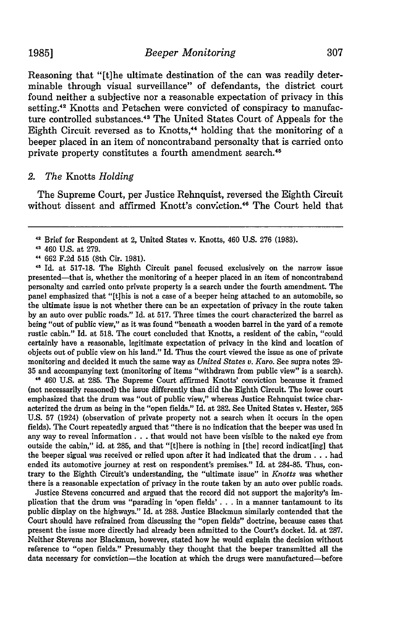Reasoning that "[t]he ultimate destination of the can was readily determinable through visual surveillance" of defendants, the district court found neither a subjective nor a reasonable expectation of privacy in this setting.<sup>42</sup> Knotts and Petschen were convicted of conspiracy to manufacture controlled substances.<sup>43</sup> The United States Court of Appeals for the Eighth Circuit reversed as to Knotts,<sup>44</sup> holding that the monitoring of a beeper placed in an item of noncontraband personalty that is carried onto private property constitutes a fourth amendment search.<sup>45</sup>

# *2. The* Knotts *Holding*

The Supreme Court, per Justice Rehnquist, reversed the Eighth Circuit without dissent and affirmed Knott's conviction.<sup>46</sup> The Court held that

**<sup>46</sup>**460 U.S. at 285. The Supreme Court affirmed Knotts' conviction because it framed (not necessarily reasoned) the issue differently than did the Eighth Circuit. The lower court emphasized that the drum was "out of public view," whereas Justice Rehnquist twice characterized the drum as being in the "open fields." Id. at 282. See United States v. Hester, 265 U.S. 57 (1924) (observation of private property not a search when it occurs in the open fields). The Court repeatedly argued that "there is no indication that the beeper was used in any way to reveal information. **. .** that would not have been visible to the naked eye from outside the cabin," id. at 285, and that "[t]here is nothing in [the] record indicat[ing] that the beeper signal was received or relied upon after it had indicated that the drum. **. .** had ended its automotive journey at rest on respondent's premises." Id. at 284-85. Thus, contrary to the Eighth Circuit's understanding, the "ultimate issue" in *Knotts* was whether there is a reasonable expectation of privacy in the route taken by an auto over public roads.

Justice Stevens concurred and argued that the record did not support the majority's implication that the drum was "parading in 'open fields' **. . .** in a manner tantamount to its public display on the highways." Id. at 288. Justice Blackmun similarly contended that the Court should have refrained from discussing the "open fields" doctrine, because cases that present the issue more directly had already been admitted to the Court's docket. Id. at 287. Neither Stevens nor Blackmun, however, stated how he would explain the decision without reference to "open fields." Presumably they thought that the beeper transmitted all the data necessary for conviction-the location at which the drugs were manufactured-before

**<sup>2</sup>**Brief for Respondent at 2, United States v. Knotts, 460 U.S. 276 (1983).

<sup>43</sup> 460 U.S. at 279.

**<sup>&</sup>quot;** 662 F.2d 515 (8th Cir. 1981).

**<sup>41</sup>**Id. at 517-18. The Eighth Circuit panel focused exclusively on the narrow issue presented-that is, whether the monitoring of a beeper placed in an item of noncontraband personalty and carried onto private property is a search under the fourth amendment. The panel emphasized that "[tihis is not a case of a beeper being attached to an automobile, so the ultimate issue is not whether there can be an expectation of privacy in the route taken by an auto over public roads." Id. at 517. Three times the court characterized the barrel as being "out of public view," as it was found "beneath a wooden barrel in the yard of a remote rustic cabin." Id. at 518. The court concluded that Knotts, a resident of the cabin, "could certainly have a reasonable, legitimate expectation of privacy in the kind and location of objects out of public view on his land." Id. Thus the court viewed the issue as one of private monitoring and decided it much the same way as *United States v. Karo.* See supra notes 29- 35 and accompanying text (monitoring of items "withdrawn from public view" is a search).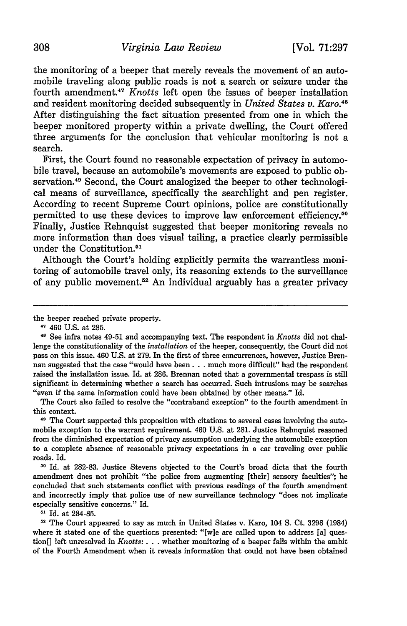the monitoring of a beeper that merely reveals the movement of an automobile traveling along public roads is not a search or seizure under the fourth amendment.<sup>47</sup> *Knotts* left open the issues of beeper installation and resident monitoring decided subsequently in *United States v. Karo.48* After distinguishing the fact situation presented from one in which the beeper monitored property within a private dwelling, the Court offered three arguments for the conclusion that vehicular monitoring is not a search.

First, the Court found no reasonable expectation of privacy in automobile travel, because an automobile's movements are exposed to public observation.49 Second, the Court analogized the beeper to other technological means of surveillance, specifically the searchlight and pen register. According to recent Supreme Court opinions, police are constitutionally permitted to use these devices to improve law enforcement efficiency.<sup>50</sup> Finally, Justice Rehnquist suggested that beeper monitoring reveals no more information than does visual tailing, a practice clearly permissible under the Constitution.<sup>51</sup>

Although the Court's holding explicitly permits the warrantless monitoring of automobile travel only, its reasoning extends to the surveillance of any public movement.52 An individual arguably has a greater privacy

the beeper reached private property.

**'7** 460 U.S. at 285.

The Court also failed to resolve the "contraband exception" to the fourth amendment in this context.

<sup>49</sup> The Court supported this proposition with citations to several cases involving the automobile exception to the warrant requirement. 460 U.S. at 281. Justice Rehnquist reasoned from the diminished expectation of privacy assumption underlying the automobile exception to a complete absence of reasonable privacy expectations in a car traveling over public roads. Id.

**<sup>50</sup>**Id. at 282-83. Justice Stevens objected to the Court's broad dicta that the fourth amendment does not prohibit "the police from augmenting [their] sensory faculties"; he concluded that such statements conflict with previous readings of the fourth amendment and incorrectly imply that police use of new surveillance technology "does not implicate especially sensitive concerns." Id.

**"** Id. at 284-85.

**"'** The Court appeared to say as much in United States v. Karo, 104 **S.** Ct. 3296 (1984) where it stated one of the questions presented: "[w]e are called upon to address [a] question[] left unresolved in *Knotts:* ... whether monitoring of a beeper falls within the ambit of the Fourth Amendment when it reveals information that could not have been obtained

**<sup>48</sup>** See infra notes 49-51 and accompanying text. The respondent in *Knotts* did not challenge the constitutionality of the *installation* of the beeper, consequently, the Court did not pass on this issue. 460 U.S. at 279. In the first of three concurrences, however, Justice Brennan suggested that the case "would have been **...** much more difficult" had the respondent raised the installation issue. Id. at 286. Brennan noted that a governmental trespass is still significant in determining whether a search has occurred. Such intrusions may be searches "even if the same information could have been obtained by other means." Id.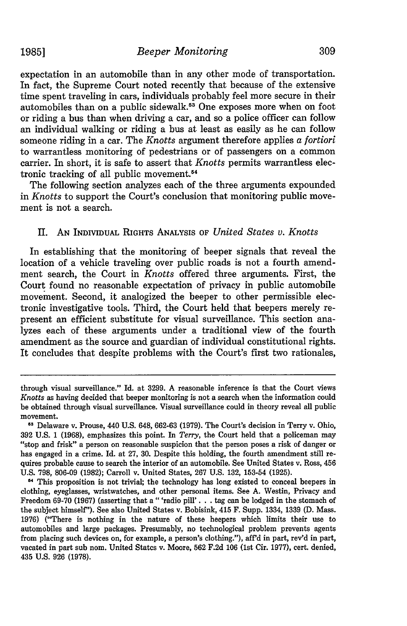expectation in an automobile than in any other mode of transportation. In fact, the Supreme Court noted recently that because of the extensive time spent traveling in cars, individuals probably feel more secure in their automobiles than on a public sidewalk.<sup>53</sup> One exposes more when on foot or riding a bus than when driving a car, and so a police officer can follow an individual walking or riding a bus at least as easily as he can follow someone riding in a car. The *Knotts* argument therefore applies a *fortiori* to warrantless monitoring of pedestrians or of passengers on a common carrier. In short, it is safe to assert that *Knotts* permits warrantless electronic tracking of all public movement.<sup>54</sup>

The following section analyzes each of the three arguments expounded in *Knotts* to support the Court's conclusion that monitoring public movement is not a search.

#### II. **AN INDIVIDUAL** RIGHTS **ANALYSIS OF** *United States v. Knotts*

In establishing that the monitoring of beeper signals that reveal the location of a vehicle traveling over public roads is not a fourth amendment search, the Court in *Knotts* offered three arguments. First, the Court found no reasonable expectation of privacy in public automobile movement. Second, it analogized the beeper to other permissible electronic investigative tools. Third, the Court held that beepers merely represent an efficient substitute for visual surveillance. This section analyzes each of these arguments under a traditional view of the fourth amendment as the source and guardian of individual constitutional rights. It concludes that despite problems with the Court's first two rationales,

through visual surveillance." Id. at 3299. A reasonable inference is that the Court views *Knotts* as having decided that beeper monitoring is not a search when the information could be obtained through visual surveillance. Visual surveillance could in theory reveal all public movement.

**<sup>53</sup>**Delaware v. Prouse, 440 U.S. 648, 662-63 (1979). The Court's decision in Terry v. Ohio, 392 U.S. **1** (1968), emphasizes this point. In *Terry,* the Court held that a policeman may "stop and frisk" a person on reasonable suspicion that the person poses a risk of danger or has engaged in a crime. Id. at 27, 30. Despite this holding, the fourth amendment still requires probable cause to search the interior of an automobile. See United States v. Ross, 456 U.S. 798, 806-09 (1982); Carroll v. United States, 267 U.S. 132, 153-54 (1925).

<sup>&</sup>lt;sup>54</sup> This proposition is not trivial; the technology has long existed to conceal beepers in clothing, eyeglasses, wristwatches, and other personal items. See A. Westin, Privacy and Freedom 69-70 (1967) (asserting that a "'radio pill'. **. .** tag can be lodged in the stomach of the subject himself"). See also United States v. Bobisink, 415 F. Supp. 1334, 1339 (D. Mass. 1976) ("There is nothing in the nature of these beepers which limits their use to automobiles and large packages. Presumably, no technological problem prevents agents from placing such devices on, for example, a person's clothing."), aff'd in part, rev'd in part, vacated in part sub nom. United States v. Moore, 562 F.2d 106 (1st Cir. 1977), cert. denied, 435 U.S. 926 (1978).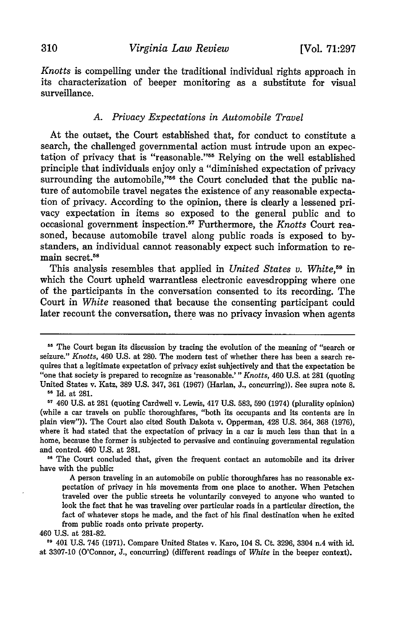*Knotts* is compelling under the traditional individual rights approach in its characterization of beeper monitoring as a substitute for visual surveillance.

# *A. Privacy Expectations in Automobile Travel*

At the outset, the Court established that, for conduct to constitute a search, the challenged governmental action must intrude upon an expectation of privacy that is "reasonable."<sup>55</sup> Relying on the well established principle that individuals enjoy only a "diminished expectation of privacy surrounding the automobile,"<sup>56</sup> the Court concluded that the public nature of automobile travel negates the existence of any reasonable expectation of privacy. According to the opinion, there is clearly a lessened privacy expectation in items so exposed to the general public and to occasional government inspection.<sup>57</sup> Furthermore, the *Knotts* Court reasoned, because automobile travel along public roads is exposed to bystanders, an individual cannot reasonably expect such information to remain secret.<sup>58</sup>

This analysis resembles that applied in *United States v. White*,<sup>59</sup> in which the Court upheld warrantless electronic eavesdropping where one of the participants in the conversation consented to its recording. The Court in *White* reasoned that because the consenting participant could later recount the conversation, there was no privacy invasion when agents

**"8** The Court concluded that, given the frequent contact an automobile and its driver have with the public:

A person traveling in an automobile on public thoroughfares has no reasonable ex pectation of privacy in his movements from one place to another. When Petschen traveled over the public streets he voluntarily conveyed to anyone who wanted to look the fact that he was traveling over particular roads in a particular direction, the fact of whatever stops he made, and the fact of his final destination when he exited from public roads onto private property.

**<sup>59</sup>**401 U.S. 745 (1971). Compare United States v. Karo, 104 **S.** Ct. 3296, 3304 n.4 with id. at 3307-10 (O'Connor, J., concurring) (different readings of *White* in the beeper context).

<sup>&</sup>lt;sup>55</sup> The Court began its discussion by tracing the evolution of the meaning of "search or seizure." *Knotts,* 460 U.S. at 280. The modern test of whether there has been a search re- quires that a legitimate expectation of privacy exist subjectively and that the expectation be "one that society is prepared to recognize as 'reasonable.' " *Knotts,* 460 U.S. at 281 (quoting United States v. Katz, 389 U.S. 347, 361 (1967) (Harlan, J., concurring)). See supra note **8.**

**<sup>56</sup>**Id. at **281.**

**<sup>57</sup>**460 U.S. at 281 (quoting Cardwell v. Lewis, 417 U.S. 583, 590 (1974) (plurality opinion) (while a car travels on public thoroughfares, "both its occupants and its contents are in plain view")). The Court also cited South Dakota v. Opperman, 428 U.S. 364, 368 (1976), where it had stated that the expectation of privacy in a car is much less than that in a home, because the former is subjected to pervasive and continuing governmental regulation and control. 460 U.S. at 281.

<sup>460</sup> U.S. at 281-82.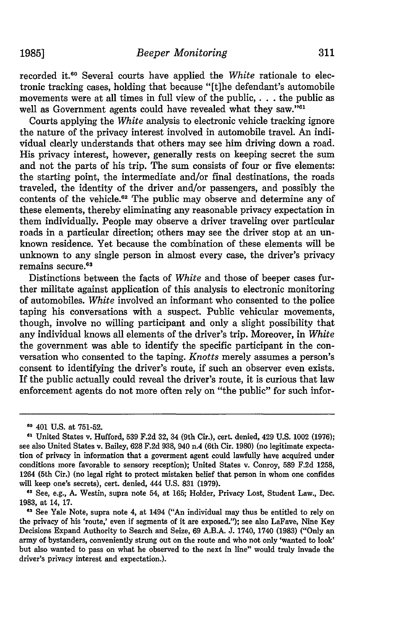recorded it.6 0 Several courts have applied the *White* rationale to electronic tracking cases, holding that because "[t]he defendant's automobile movements were at all times in full view of the public,. . . the public as well as Government agents could have revealed what they saw."<sup>61</sup>

Courts applying the *White* analysis to electronic vehicle tracking ignore the nature of the privacy interest involved in automobile travel. An individual clearly understands that others may see him driving down a road. His privacy interest, however, generally rests on keeping secret the sum and not the parts of his trip. The sum consists of four or five elements: the starting point, the intermediate and/or final destinations, the roads traveled, the identity of the driver and/or passengers, and possibly the contents of the vehicle.<sup>62</sup> The public may observe and determine any of these elements, thereby eliminating any reasonable privacy expectation in them individually. People may observe a driver traveling over particular roads in a particular direction; others may see the driver stop at an unknown residence. Yet because the combination of these elements will be unknown to any single person in almost every case, the driver's privacy remains secure **. <sup>3</sup>**

Distinctions between the facts of *White* and those of beeper cases further militate against application of this analysis to electronic monitoring of automobiles. *White* involved an informant who consented to the police taping his conversations with a suspect. Public vehicular movements, though, involve no willing participant and only a slight possibility that any individual knows all elements of the driver's trip. Moreover, in *White* the government was able to identify the specific participant in the conversation who consented to the taping. *Knotts* merely assumes a person's consent to identifying the driver's route, if such an observer even exists. If the public actually could reveal the driver's route, it is curious that law enforcement agents do not more often rely on "the public" for such infor-

**<sup>10</sup>**401 U.S. at 751-52.

**<sup>&</sup>quot;** United States v. Hufford, 539 F.2d 32, 34 (9th Cir.), cert. denied, 429 U.S. 1002 **(1976);** see also United States v. Bailey, 628 F.2d 938, 940 n.4 (6th Cir. 1980) (no legitimate expectation of privacy in information that a goverment agent could lawfully have acquired under conditions more favorable to sensory reception); United States v. Conroy, 589 F.2d 1258, 1264 (5th Cir.) (no legal right to protect mistaken belief that person in whom one confides will keep one's secrets), cert. denied, 444 U.S. 831 (1979).

**<sup>62</sup>**See, e.g., A. Westin, supra note 54, at 165; Holder, Privacy Lost, Student Law., Dec. 1983, at 14, 17.

**<sup>63</sup>**See Yale Note, supra note 4, at 1494 ("An individual may thus be entitled to rely on the privacy of his 'route,' even if segments of it are exposed."); see also LaFave, Nine Key Decisions Expand Authority to Search and Seize, 69 A.B.A. J. 1740, 1740 (1983) ("Only an army of bystanders, conveniently strung out on the route and who not only 'wanted to look' but also wanted to pass on what he observed to the next in line" would truly invade the driver's privacy interest and expectation.).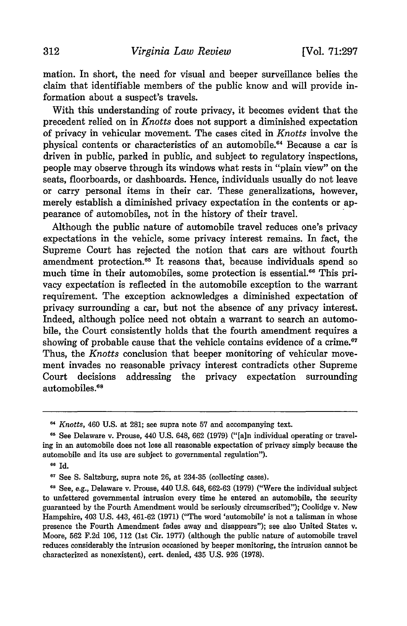mation. In short, the need for visual and beeper surveillance belies the claim that identifiable members of the public know and will provide information about a suspect's travels.

With this understanding of route privacy, it becomes evident that the precedent relied on in *Knotts* does not support a diminished expectation of privacy in vehicular movement. The cases cited in *Knotts* involve the physical contents or characteristics of an automobile.4 Because a car is driven in public, parked in public, and subject to regulatory inspections, people may observe through its windows what rests in "plain view" on the seats, floorboards, or dashboards. Hence, individuals usually do not leave or carry personal items in their car. These generalizations, however, merely establish a diminished privacy expectation in the contents or appearance of automobiles, not in the history of their travel.

Although the public nature of automobile travel reduces one's privacy expectations in the vehicle, some privacy interest remains. In fact, the Supreme Court has rejected the notion that cars are without fourth amendment protection.<sup>65</sup> It reasons that, because individuals spend so much time in their automobiles, some protection is essential.<sup>66</sup> This privacy expectation is reflected in the automobile exception to the warrant requirement. The exception acknowledges a diminished expectation of privacy surrounding a car, but not the absence of any privacy interest. Indeed, although police need not obtain a warrant to search an automobile, the Court consistently holds that the fourth amendment requires a showing of probable cause that the vehicle contains evidence of a crime.<sup>67</sup> Thus, the *Knotts* conclusion that beeper monitoring of vehicular movement invades no reasonable privacy interest contradicts other Supreme Court decisions addressing the privacy expectation surrounding automobiles.<sup>68</sup>

*<sup>64</sup> Knotts,* 460 U.S. at 281; see supra note 57 and accompanying text.

**<sup>61</sup>** See Delaware v. Prouse, 440 U.S. 648, 662 (1979) ("[a]n individual operating or traveling in an automobile does not lose all reasonable expectation of privacy simply because the automobile and its use are subject to governmental regulation").

**<sup>66</sup>**Id.

**<sup>67</sup>**See S. Saltzburg, supra note 26, at 234-35 (collecting cases).

**<sup>&</sup>quot;I** See, e.g., Delaware v. Prouse, 440 U.S. 648, 662-63 (1979) ("Were the individual subject to unfettered governmental intrusion every time he entered an automobile, the security guaranteed by the Fourth Amendment would be seriously circumscribed"); Coolidge v. New Hampshire, 403 U.S. 443, 461-62 (1971) ("The word 'automobile' is not a talisman in whose presence the Fourth Amendment fades away and disappears"); see also United States v. Moore, 562 F.2d 106, 112 (1st Cir. 1977) (although the public nature of automobile travel reduces considerably the intrusion occasioned by beeper monitoring, the intrusion cannot be characterized as nonexistent), cert. denied, 435 U.S. 926 (1978).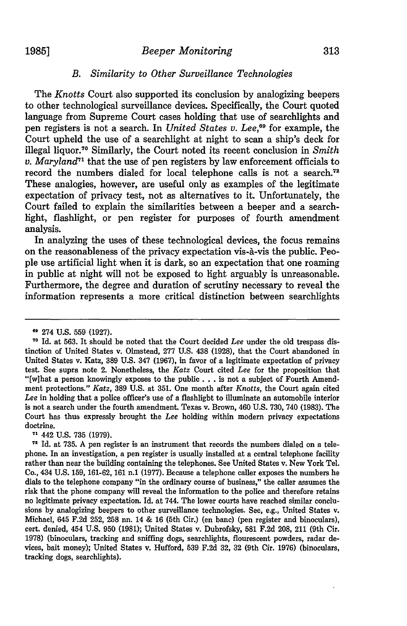# 1985] *Beeper Monitoring* 313

# *B. Similarity to Other Surveillance Technologies*

The *Knotts* Court also supported its conclusion by analogizing beepers to other technological surveillance devices. Specifically, the Court quoted language from Supreme Court cases holding that use of searchlights and pen registers is not a search. In *United States v. Lee,69* for example, the Court upheld the use of a searchlight at night to scan a ship's deck for illegal liquor." Similarly, the Court noted its recent conclusion in *Smith v. Maryland<sup>71</sup>* that the use of pen registers by law enforcement officials to record the numbers dialed for local telephone calls is not a search.<sup>72</sup> These analogies, however, are useful only as examples of the legitimate expectation of privacy test, not as alternatives to it. Unfortunately, the Court failed to explain the similarities between a beeper and a searchlight, flashlight, or pen register for purposes of fourth amendment analysis.

In analyzing the uses of these technological devices, the focus remains on the reasonableness of the privacy expectation vis-A-vis the public. People use artificial light when it is dark, so an expectation that one roaming in public at night will not be exposed to light arguably is unreasonable. Furthermore, the degree and duration of scrutiny necessary to reveal the information represents a more critical distinction between searchlights

**7-1** 442 U.S. 735 (1979).

**<sup>69</sup>** 274 U.S. 559 (1927).

**<sup>70</sup>** Id. at 563. It should be noted that the Court decided *Lee* under the old trespass distinction of United States v. Olmstead, 277 U.S. 438 (1928), that the Court abandoned in United States v. Katz, 389 U.S. 347 (1967), in favor of a legitimate expectation of privacy test. See supra note 2. Nonetheless, the *Katz* Court cited *Lee* for the proposition that "[w]hat a person knowingly exposes to the public **...** is not a subject of Fourth Amendment protections." *Katz,* 389 U.S. at 351. One month after *Knotts,* the Court again cited *Lee* in holding that a police officer's use of a flashlight to illuminate an automobile interior is not a search under the fourth amendment. Texas v. Brown, 460 U.S. 730, 740 (1983). The Court has thus expressly brought the *Lee* holding within modern privacy expectations doctrine.

**<sup>71</sup>** Id. at 735. A pen register is an instrument that records the numbers dialed on a telephone. In an investigation, a pen register is usually installed at a central telephone facility rather than near the building containing the telephones. See United States v. New York Tel. Co., 434 U.S. 159, 161-62, 161 n.1 (1977). Because a telephone caller exposes the numbers he dials to the telephone company "in the ordinary course of business," the caller assumes the risk that the phone company will reveal the information to the police and therefore retains no legitimate privacy expectation. Id. at 744. The lower courts have reached similar conclusions by analogizing beepers to other surveillance technologies. See, e.g., United States v. Michael, 645 F.2d 252, 258 nn. 14 & 16 (5th Cir.) (en banc) (pen register and binoculars), cert. denied, 454 U.S. **950** (1981); United States v. Dubrofsky, 581 F.2d 208, 211 (9th Cir. 1978) (binoculars, tracking and sniffing dogs, searchlights, flourescent powders, radar devices, bait money); United States v. Hufford, 539 F.2d 32, 32 (9th Cir. 1976) (binoculars, tracking dogs, searchlights).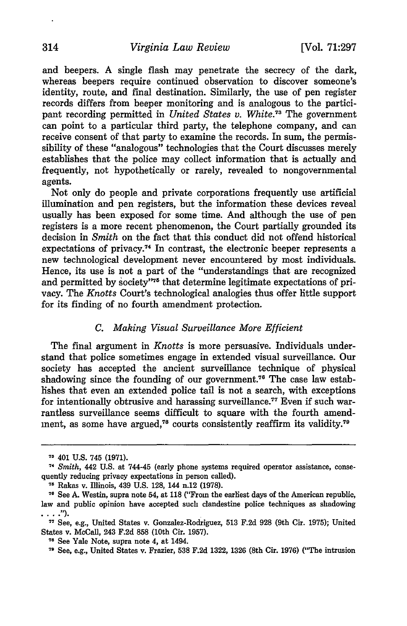and beepers. A single flash may penetrate the secrecy of the dark, whereas beepers require continued observation to discover someone's identity, route, and final destination. Similarly, the use of pen register records differs from beeper monitoring and is analogous to the participant recording permitted in *United States v. White."3* The government can point to a particular third party, the telephone company, and can receive consent of that party to examine the records. In sum, the permissibility of these "analogous" technologies that the Court discusses merely establishes that the police may collect information that is actually and frequently, not hypothetically or rarely, revealed to nongovernmental agents.

Not only do people and private corporations frequently use artificial illumination and pen registers, but the information these devices reveal usually has been exposed for some time. And although the use of pen registers is a more recent phenomenon, the Court partially grounded its decision in *Smith* on the fact that this conduct did not offend historical expectations of privacy.<sup>74</sup> In contrast, the electronic beeper represents a new technological development never encountered by most individuals. Hence, its use is not a part of the "understandings that are recognized and permitted by society"<sup>75</sup> that determine legitimate expectations of privacy. The *Knotts* Court's technological analogies thus offer little support for its finding of no fourth amendment protection.

#### *C. Making Visual Surveillance More Efficient*

The final argument in *Knotts* is more persuasive. Individuals understand that police sometimes engage in extended visual surveillance. Our society has accepted the ancient surveillance technique of physical shadowing since the founding of our government.76 The case law establishes that even an extended police tail is not a search, with exceptions for intentionally obtrusive and harassing surveillance.7 7 Even **if** such warrantless surveillance seems difficult to square with the fourth amendment, as some have argued,<sup>78</sup> courts consistently reaffirm its validity.<sup>79</sup>

**<sup>73</sup>** 401 **U.S.** 745 **(1971).**

<sup>74</sup> *Smith,* 442 **U.S.** at 744-45 (early phone systems required operator assistance, consequently reducing privacy expectations in person called).

**<sup>76</sup>** Rakas v. Illinois, 439 **U.S. 128,** 144 n.12 **(1978).**

**<sup>76</sup>** See **A.** Westin, supra note 54, at **118** ("From the earliest days of the American republic, law and public opinion have accepted such clandestine police techniques as shadowing **7;** See, e.g., United States v. Gonzalez-Rodriguez, **513 F.2d 928** (9th Cir. **1975);** United

States v. McCall, 243 **F.2d 858** (10th Cir. **1957).**

**<sup>78</sup>** See Yale Note, supra note 4, at 1494.

**<sup>79</sup>** See, e.g., United States v. Frazier, **538 F.2d 1322, 1326** (8th Cir. **1976)** ("The intrusion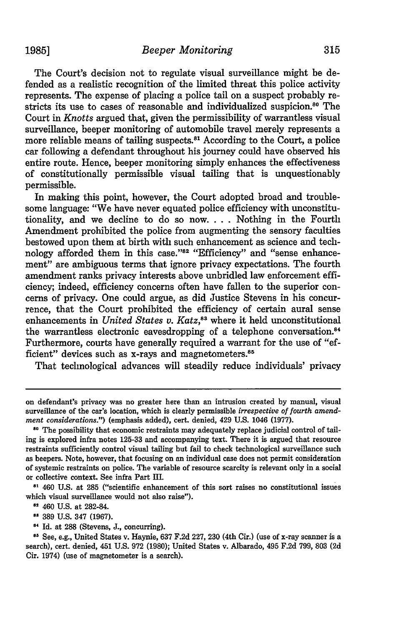The Court's decision not to regulate visual surveillance might be defended as a realistic recognition of the limited threat this police activity represents. The expense of placing a police tail on a suspect probably restricts its use to cases of reasonable and individualized suspicion.<sup>80</sup> The Court in *Knotts* argued that, given the permissibility of warrantless visual surveillance, beeper monitoring of automobile travel merely represents a more reliable means of tailing suspects.<sup>81</sup> According to the Court, a police car following a defendant throughout his journey could have observed his entire route. Hence, beeper monitoring simply enhances the effectiveness of constitutionally permissible visual tailing that is unquestionably permissible.

In making this point, however, the Court adopted broad and troublesome language: "We have never equated police efficiency with unconstitutionality, and we decline to do so now. . **.** . Nothing in the Fourth Amendment prohibited the police from augmenting the sensory faculties bestowed upon them at birth with such enhancement as science and technology afforded them in this case."<sup>82</sup> "Efficiency" and "sense enhancement" are ambiguous terms that ignore privacy expectations. The fourth amendment ranks privacy interests above unbridled law enforcement efficiency; indeed, efficiency concerns often have fallen to the superior concerns of privacy. One could argue, as did Justice Stevens in his concurrence, that the Court prohibited the efficiency of certain aural sense enhancements in *United States v. Katz*,<sup>83</sup> where it held unconstitutional the warrantless electronic eavesdropping of a telephone conversation.<sup>84</sup> Furthermore, courts have generally required a warrant for the use of "efficient" devices such as x-rays and magnetometers.<sup>85</sup>

That technological advances will steadily reduce individuals' privacy

**<sup>81</sup>**460 **U.S.** at **285** ("scientific enhancement of this sort raises no constitutional issues which visual surveillance would not also raise").

**<sup>82</sup>**460 **U.S.** at **282-84.**

**389 U.S.** 347 **(1967).**

**Id.** at 288 (Stevens, **J.,** concurring). **8'** See, e.g., United States v. Haynie, **637 F.2d 227, 230** (4th **Cir.)** (use of x-ray scanner is a search), cert. denied, 451 **U.S. 972 (1980);** United States v. Albarado, 495 **F.2d 799, 803 (2d** Cir. 1974) (use of magnetometer is a search).

on defendant's privacy was no greater here than an intrusion created **by** manual, visual surveillance of the car's location, which is clearly permissible *irrespective of fourth amendment considerations.")* (emphasis added), cert. denied, 429 **U.S.** 1046 **(1977).**

**<sup>80</sup>** The possibility that economic restraints may adequately replace judicial control of tailing is explored infra notes **125-33** and accompanying text. There it is argued that resource restraints sufficiently control visual tailing but fail to check technological surveillance such as beepers. Note, however, that focusing on an individual case does not permit consideration of systemic restraints on police. The variable of resource scarcity is relevant only in a social or collective context. See infra Part III.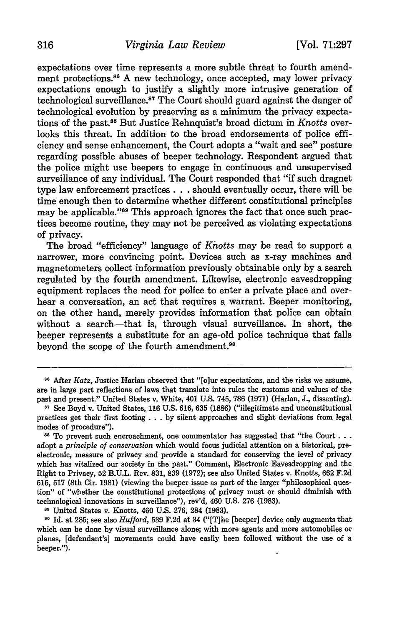expectations over time represents a more subtle threat to fourth amendment protections.<sup>86</sup> A new technology, once accepted, may lower privacy expectations enough to justify a slightly more intrusive generation of technological surveillance.<sup>87</sup> The Court should guard against the danger of technological evolution by preserving as a minimum the privacy expectations of the past.88 But Justice Rehnquist's broad dictum in *Knotts* overlooks this threat. In addition to the broad endorsements of police efficiency and sense enhancement, the Court adopts a "wait and see" posture regarding possible abuses of beeper technology. Respondent argued that the police might use beepers to engage in continuous and unsupervised surveillance of any individual. The Court responded that "if such dragnet type law enforcement practices. **. .** should eventually occur, there will be time enough then to determine whether different constitutional principles may be applicable."<sup>89</sup> This approach ignores the fact that once such practices become routine, they may not be perceived as violating expectations of privacy.

The broad "efficiency" language of *Khotts* may be read to support a narrower, more convincing point. Devices such as x-ray machines and magnetometers collect information previously obtainable only by a search regulated by the fourth amendment. Likewise, electronic eavesdropping equipment replaces the need for police to enter a private place and overhear a conversation, an act that requires a warrant. Beeper monitoring, on the other hand, merely provides information that police can obtain without a search—that is, through visual surveillance. In short, the beeper represents a substitute for an age-old police technique that falls beyond the scope of the fourth amendment.<sup>90</sup>

**89** United States v. Knotts, 460 U.S. 276, 284 (1983).

**s6** After *Katz,* Justice Harlan observed that "[o]ur expectations, and the risks we assume, are in large part reflections of laws that translate into rules the customs and values of the past and present." United States v. White, 401 U.S. 745, 786 (1971) (Harlan, J., dissenting).

**<sup>87</sup>** See Boyd v. United States, 116 U.S. 616, 635 (1886) ("illegitimate and unconstitutional practices get their first footing **...** by silent approaches and slight deviations from legal modes of procedure").

<sup>&</sup>lt;sup>88</sup> To prevent such encroachment, one commentator has suggested that "the Court... adopt a *principle of conservation* which would focus judicial attention on a historical, preelectronic, measure of privacy and provide a standard for conserving the level of privacy which has vitalized our society in the past." Comment, Electronic Eavesdropping and the Right to Privacy, 52 B.U.L. Rev. 831, 839 (1972); see also United States v. Knotts, 662 F.2d 515, 517 (8th Cir. 1981) (viewing the beeper issue as part of the larger "philosophical question" of "whether the constitutional protections of privacy must or should diminish with technological innovations in surveillance"), rev'd, 460 U.S. 276 (1983).

**<sup>90</sup>**Id. at 285; see also *Hufford,* 539 F.2d at 34 ("[T]he [beeper] device only augments that which can be done by visual surveillance alone; with more agents and more automobiles or planes, [defendant's] movements could have easily been followed without the use of a beeper.").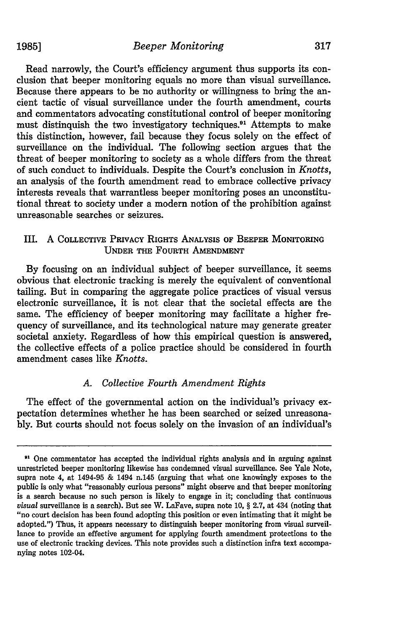Read narrowly, the Court's efficiency argument thus supports its conclusion that beeper monitoring equals no more than visual surveillance. Because there appears to be no authority or willingness to bring the ancient tactic of visual surveillance under the fourth amendment, courts and commentators advocating constitutional control of beeper monitoring must distinquish the two investigatory techniques.<sup>91</sup> Attempts to make this distinction, however, fail because they focus solely on the effect of surveillance on the individual. The following section argues that the threat of beeper monitoring to society as a whole differs from the threat of such conduct to individuals. Despite the Court's conclusion in *Knotts,* an analysis of the fourth amendment read to embrace collective privacy interests reveals that warrantless beeper monitoring poses an unconstitutional threat to society under a modern notion of the prohibition against unreasonable searches or seizures.

# III. A COLLECTIVE **PRIVACY** RIGHTS ANALYSIS **OF BEEPER** MONITORING **UNDER THE FOURTH AMENDMENT**

**By** focusing on an individual subject of beeper surveillance, it seems obvious that electronic tracking is merely the equivalent of conventional tailing. But in comparing the aggregate police practices of visual versus electronic surveillance, it is not clear that the societal effects are the same. The efficiency of beeper monitoring may facilitate a higher frequency of surveillance, and its technological nature may generate greater societal anxiety. Regardless of how this empirical question is answered, the collective effects of a police practice should be considered in fourth amendment cases like *Knotts.*

# *A. Collective Fourth Amendment Rights*

The effect of the governmental action on the individual's privacy expectation determines whether he has been searched or seized unreasonably. But courts should not focus solely on the invasion of an individual's

**<sup>91</sup>** One commentator has accepted the individual rights analysis and in arguing against unrestricted beeper monitoring likewise has condemned visual surveillance. See Yale Note, supra note 4, at 1494-95 & 1494 n.145 (arguing that what one knowingly exposes to the public is only what "reasonably curious persons" might observe and that beeper monitoring is a search because no such person is likely to engage in it; concluding that continuous *visual* surveillance is a search). But see W. LaFave, supra note **10,** § **2.7,** at 434 (noting that "no court decision has been found adopting this position or even intimating that it might be adopted.") Thus, it appears necessary to distinguish beeper monitoring from visual surveillance to provide an effective argument for applying fourth amendment protections to the use of electronic tracking devices. This note provides such a distinction infra text accompanying notes 102-04.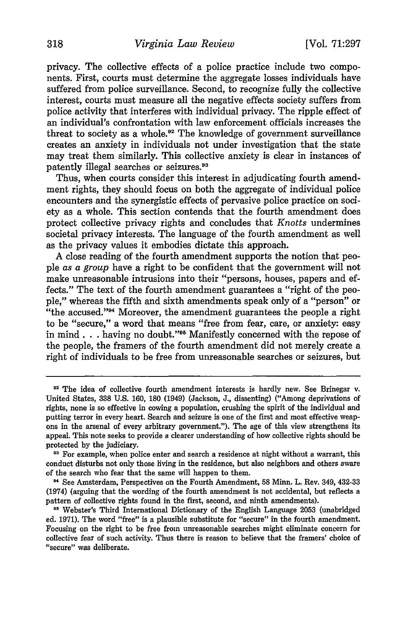privacy. The collective effects of a police practice include two components. First, courts must determine the aggregate losses individuals have suffered from police surveillance. Second, to recognize fully the collective interest, courts must measure all the negative effects society suffers from police activity that interferes with individual privacy. The ripple effect of an individual's confrontation with law enforcement officials increases the threat to society as a whole.<sup>92</sup> The knowledge of government surveillance creates an anxiety in individuals not under investigation that the state may treat them similarly. This collective anxiety is clear in instances of patently illegal searches or seizures. <sup>93</sup>

Thus, when courts consider this interest in adjudicating fourth amendment rights, they should focus on both the aggregate of individual police encounters and the synergistic effects of pervasive police practice on society as a whole. This section contends that the fourth amendment does protect collective privacy rights and concludes that *Knotts* undermines societal privacy interests. The language of the fourth amendment as well as the privacy values it embodies dictate this approach.

A close reading of the fourth amendment supports the notion that people *as a group* have a right to be confident that the government will not make unreasonable intrusions into their "persons, houses, papers and effects." The text of the fourth amendment guarantees a "right of the people," whereas the fifth and sixth amendments speak only of a "person" or "the accused."94 Moreover, the amendment guarantees the people a right to be "secure," a word that means "free from fear, care, or anxiety: easy in mind. **. .** having no doubt."95 Manifestly concerned with the repose of the people, the framers of the fourth amendment did not merely create a right of individuals to be free from unreasonable searches or seizures, but

**<sup>92</sup>**The idea of collective fourth amendment interests is hardly new. See Brinegar v. United States, 338 U.S. 160, 180 (1949) (Jackson, J., dissenting) ("Among deprivations of rights, none is so effective in cowing a population, crushing the spirit of the individual and putting terror in every heart. Search and seizure is one of the first and most effective weapons in the arsenal of every arbitrary government."). The age of this view strengthens its appeal. This note seeks to provide a clearer understanding of how collective rights should be protected by the judiciary.

**<sup>9&#</sup>x27;** For example, when police enter and search a residence at night without a warrant, this conduct disturbs not only those living in the residence, but also neighbors and others aware of the search who fear that the same will happen to them.

<sup>&#</sup>x27;4 See Amsterdam, Perspectives on the Fourth Amendment, 58 Minn. L. Rev. 349, 432-33 (1974) (arguing that the wording of the fourth amendment is not accidental, but reflects a pattern of collective rights found in the first, second, and ninth amendments).

**<sup>95</sup>**Webster's Third International Dictionary of the English Language 2053 (unabridged ed. 1971). The word "free" is a plausible substitute for "secure" in the fourth amendment. Focusing on the right to be free from unreasonable searches might eliminate concern for collective fear of such activity. Thus there is reason to believe that the framers' choice of "secure" was deliberate.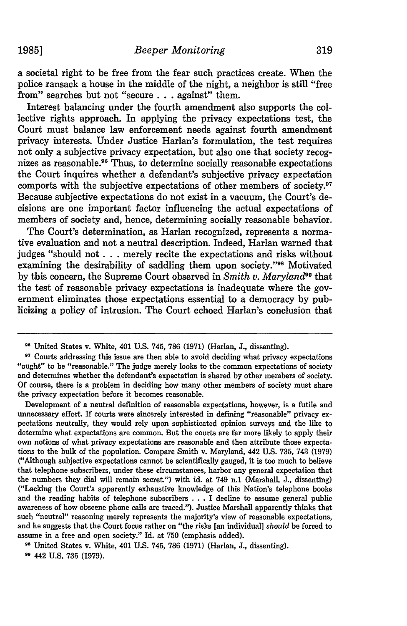a societal right to be free from the fear such practices create. When the police ransack a house in the middle of the night, a neighbor is still "free from" searches but not "secure **. .** against" them.

Interest balancing under the fourth amendment also supports the collective rights approach. In applying the privacy expectations test, the Court must balance law enforcement needs against fourth amendment privacy interests. Under Justice Harlan's formulation, the test requires not only a subjective privacy expectation, but also one that society recognizes as reasonable.<sup>96</sup> Thus, to determine socially reasonable expectations the Court inquires whether a defendant's subjective privacy expectation comports with the subjective expectations of other members of society.97 Because subjective expectations do not exist in a vacuum, the Court's decisions are one important factor influencing the actual expectations of members of society and, hence, determining socially reasonable behavior.

The Court's determination, as Harlan recognized, represents a normative evaluation and not a neutral description. Indeed, Harlan warned that judges "should not **. . .** merely recite the expectations and risks without examining the desirability of saddling them upon society."<sup>98</sup> Motivated by this concern, the Supreme Court observed in *Smith v. Maryland<sup>99</sup>* that the test of reasonable privacy expectations is inadequate where the government eliminates those expectations essential to a democracy **by** publicizing a policy of intrusion. The Court echoed Harlan's conclusion that

Development of a neutral definition of reasonable expectations, however, is a futile and unnecessary effort. If courts were sincerely interested in defining "reasonable" privacy expectations neutrally, they would rely upon sophisticated opinion surveys and the like to determine what expectations are common. But the courts are far more likely to apply their own notions of what privacy expectations are reasonable and then attribute those expectations to the bulk of the population. Compare Smith v. Maryland, 442 **U.S. 735,** 743 **(1979)** ("Although subjective expectations cannot be scientifically gauged, it is too much to believe that telephone subscribers, under these circumstances, harbor any general expectation that the numbers they dial will remain secret.") with id. at 749 n.1 (Marshall, **J.,** dissenting) ("Lacking the Court's apparently exhaustive knowledge of this Nation's telephone books and the reading habits of telephone subscribers **...**I decline to assume general public awareness of how obscene phone calls are traced."). Justice Marshall apparently thinks that such "neutral" reasoning merely represents the majority's view of reasonable expectations, and he suggests that the Court focus rather on "the risks [an individual] *should* be forced to assume in a free and open society." Id. at **750** (emphasis added).

**,'** United States v. White, 401 **U.S.** 745, **786 (1971)** (Harlan, **J.,** dissenting).

**<sup>99</sup>**442 **U.S. 735 (1979).**

**<sup>9</sup>** United States v. White, 401 **U.S.** 745, **786 (1971)** (Harlan, **J.,** dissenting).

<sup>&</sup>lt;sup>97</sup> Courts addressing this issue are then able to avoid deciding what privacy expectations "ought" to be "reasonable." The judge merely looks to the common expectations of society and determines whether the defendant's expectation is shared **by** other members of society. **Of** course, there is a problem in deciding how many other members of society must share the privacy expectation before it becomes reasonable.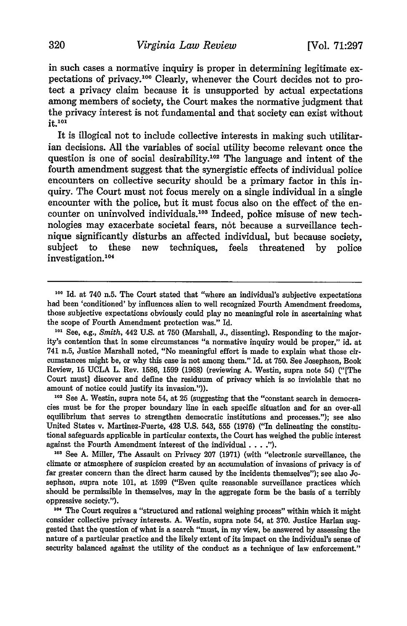in such cases a normative inquiry is proper in determining legitimate expectations of privacy.100 Clearly, whenever the Court decides not to protect a privacy claim because it is unsupported by actual expectations among members of society, the Court makes the normative judgment that the privacy interest is not fundamental and that society can exist without it.<sup>101</sup>

It is illogical not to include collective interests in making such utilitarian decisions. All the variables of social utility become relevant once the question is one of social desirability.<sup>102</sup> The language and intent of the fourth amendment suggest that the synergistic effects of individual police encounters on collective security should be a primary factor in this inquiry. The Court must not focus merely on a single individual in a single encounter with the police, but it must focus also on the effect of the encounter on uninvolved individuals.<sup>103</sup> Indeed, police misuse of new technologies may exacerbate societal fears, not because a surveillance technique significantly disturbs an affected individual, but because society, subject to these new techniques, feels threatened by police investigation.<sup>104</sup>

cies must be for the proper boundary line in each specific situation and for an over-all equilibrium that serves to strengthen democratic institutions and processes."); see also United States v. Martinez-Fuerte, 428 U.S. 543, **555** (1976) ("In delineating the constitutional safeguards applicable in particular contexts, the Court has weighed the public interest against the Fourth Amendment interest of the individual **.... ).**

**<sup>103</sup>**See A. Miller, The Assault on Privacy **207** (1971) (with "electronic surveillance, the climate or atmosphere of suspicion created by an accumulation of invasions of privacy is of far greater concern than the direct harm caused by the incidents themselves"); see also Josephson, supra note 101, at 1599 ("Even quite reasonable surveillance practices which should be permissible in themselves, may in the aggregate form be the basis of a terribly oppressive society.").

104 The Court requires a "structured and rational weighing process" within which it might consider collective privacy interests. A. Westin, supra note 54, at **370.** Justice Harlan suggested that the question of what is a search "must, in my view, be answered by assessing the nature of a particular practice and the likely extent of its impact on the individual's sense of security balanced against the utility of the conduct as a technique of law enforcement."

<sup>&</sup>lt;sup>100</sup> Id. at 740 n.5. The Court stated that "where an individual's subjective expectations had been 'conditioned' by influences alien to well recognized Fourth Amendment freedoms, those subjective expectations obviously could play no meaningful role in ascertaining what the scope of Fourth Amendment protection was." Id.

**<sup>101</sup>** See, e.g., *Smith,* 442 U.S. at **750** (Marshall, J., dissenting). Responding to the majority's contention that in some circumstances "a normative inquiry would be proper," id. at 741 n.5, Justice Marshall noted, "No meaningful effort is made to explain what those circumstances might be, or why this case is not among them." Id. at 750. See Josephson, Book Review, **15** UCLA L. Rev. 1586, 1599 (1968) (reviewing A. Westin, supra note 54) ("[The Court must] discover and define the residuum of privacy which is so inviolable that no amount of notice could justify its invasion.").<br><sup>102</sup> See A. Westin, supra note 54, at 25 (suggesting that the "constant search in dem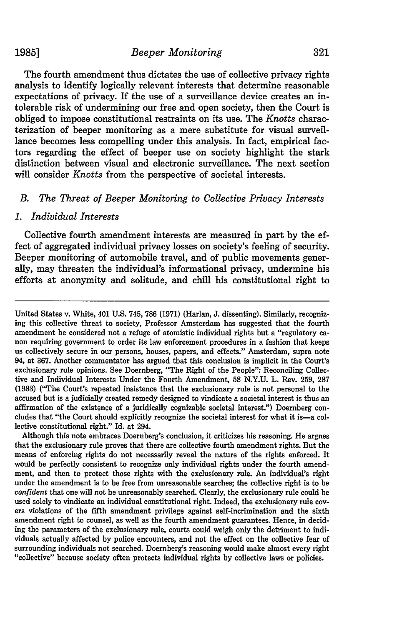The fourth amendment thus dictates the use of collective privacy rights analysis to identify logically relevant interests that determine reasonable expectations of privacy. If the use of a surveillance device creates an intolerable risk of undermining our free and open society, then the Court is obliged to impose constitutional restraints on its use. The *Knotts* characterization of beeper monitoring as a mere substitute for visual surveillance becomes less compelling under this analysis. In fact, empirical factors regarding the effect of beeper use on society highlight the stark distinction between visual and electronic surveillance. The next section will consider *Knotts* from the perspective of societal interests.

# *B. The Threat of Beeper Monitoring to Collective Privacy Interests*

#### *1. Individual Interests*

Collective fourth amendment interests are measured in part by the effect of aggregated individual privacy losses on society's feeling of security. Beeper monitoring of automobile travel, and of public movements generally, may threaten the individual's informational privacy, undermine his efforts at anonymity and solitude, and chill his constitutional right to

Although this note embraces Doernberg's conclusion, it criticizes his reasoning. He argues that the exclusionary rule proves that there are collective fourth amendment rights. But the means of enforcing rights do not necessarily reveal the nature of the rights enforced. It would be perfectly consistent to recognize only individual rights under the fourth amendment, and then to protect those rights with the exclusionary rule. An individual's right under the amendment is to be free from unreasonable searches; the collective right is to be *confident* that one will not be unreasonably searched. Clearly, the exclusionary rule could be used solely to vindicate an individual constitutional right. Indeed, the exclusionary rule covers violations of the fifth amendment privilege against self-incrimination and the sixth amendment right to counsel, as well as the fourth amendment guarantees. Hence, in deciding the parameters of the exclusionary rule, courts could weigh only the detriment to individuals actually affected by police encounters, and not the effect on the collective fear of surrounding individuals not searched. Doernberg's reasoning would make almost every right "collective" because society often protects individual rights by collective laws or policies.

United States v. White, 401 **U.S.** 745, **786 (1971)** (Harlan, **J.** dissenting). Similarly, recognizing this collective threat to society, Professor Amsterdam has suggested that the fourth amendment be considered not a refuge of atomistic individual rights but a "regulatory canon requiring government to order its law enforcement procedures in a fashion that keeps us collectively secure in our persons, houses, papers, and effects." Amsterdam, supra note 94, at 367. Another commentator has argued that this conclusion is implicit in the Court's exclusionary rule opinions. See Doernberg, "The Right of the People": Reconciling Collective and Individual Interests Under the Fourth Amendment, 58 N.Y.U. L. Rev. 259, 287 (1983) ("The Court's repeated insistence that the exclusionary rule is not personal to the accused but is a judicially created remedy designed to vindicate a societal interest is thus an affirmation of the existence of a juridically cognizable societal interest.") Doernberg concludes that "the Court should explicitly recognize the societal interest for what it is-a collective constitutional right." Id. at 294.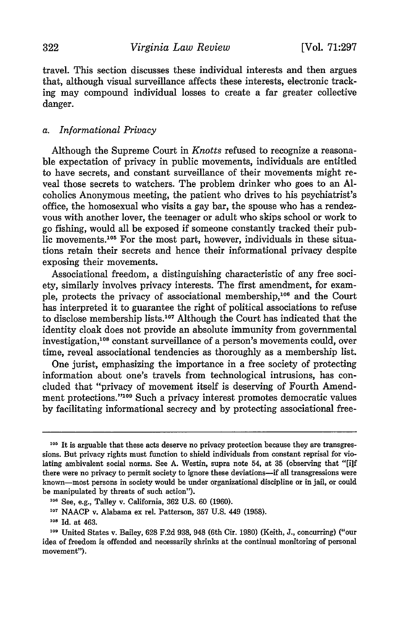travel. This section discusses these individual interests and then argues that, although visual surveillance affects these interests, electronic tracking may compound individual losses to create a far greater collective danger.

#### *a. Informational Privacy*

Although the Supreme Court in *Knotts* refused to recognize a reasonable expectation of privacy in public movements, individuals are entitled to have secrets, and constant surveillance of their movements might reveal those secrets to watchers. The problem drinker who goes to an Alcoholics Anonymous meeting, the patient who drives to his psychiatrist's office, the homosexual who visits a gay bar, the spouse who has a rendezvous with another lover, the teenager or adult who skips school or work to go fishing, would all be exposed if someone constantly tracked their public movements.<sup>105</sup> For the most part, however, individuals in these situations retain their secrets and hence their informational privacy despite exposing their movements.

Associational freedom, a distinguishing characteristic of any free society, similarly involves privacy interests. The first amendment, for example, protects the privacy of associational membership,<sup>106</sup> and the Court has interpreted it to guarantee the right of political associations to refuse to disclose membership lists.<sup>107</sup> Although the Court has indicated that the identity cloak does not provide an absolute immunity from governmental investigation,'08 constant surveillance of a person's movements could, over time, reveal associational tendencies as thoroughly as a membership list.

One jurist, emphasizing the importance in a free society of protecting information about one's travels from technological intrusions, has concluded that "privacy of movement itself is deserving of Fourth Amendment protections."109 Such a privacy interest promotes democratic values by facilitating informational secrecy and by protecting associational free-

**<sup>105</sup>** It is arguable that these acts deserve no privacy protection because they are transgressions. But privacy rights must function to shield individuals from constant reprisal for violating ambivalent social norms. See A. Westin, supra note 54, at 35 (observing that "[i]f there were no privacy to permit society to ignore these deviations-if all transgressions were known-most persons in society would be under organizational discipline or in jail, or could be manipulated by threats of such action").

<sup>&</sup>lt;sup>106</sup> See, e.g., Talley v. California, 362 U.S. 60 (1960).

**<sup>107</sup>**NAACP v. Alabama ex rel. Patterson, 357 U.S. 449 (1958).

**<sup>108</sup>**Id. at 463.

**<sup>109</sup>**United States v. Bailey, 628 F.2d 938, 948 (6th Cir. 1980) (Keith, J., concurring) ("our idea of freedom is offended and necessarily shrinks at the continual monitoring of personal movement").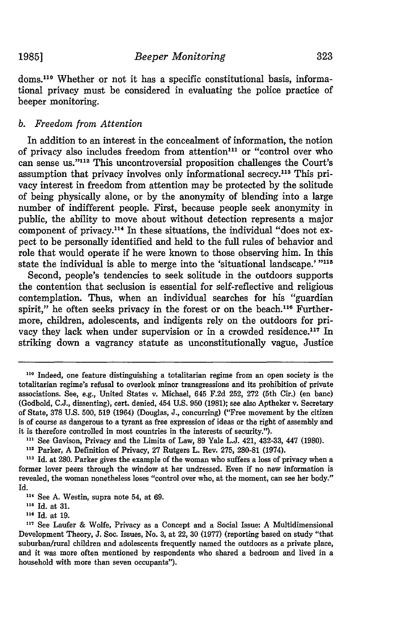doms.<sup>110</sup> Whether or not it has a specific constitutional basis, informational privacy must be considered in evaluating the police practice of beeper monitoring.

# *b. Freedom from Attention*

In addition to an interest in the concealment of information, the notion of privacy also includes freedom from attention"' or "control over who can sense us."<sup>112</sup> This uncontroversial proposition challenges the Court's assumption that privacy involves only informational secrecy.<sup>113</sup> This privacy interest in freedom from attention may be protected **by** the solitude of being physically alone, or **by** the anonymity of blending into a large number of indifferent people. First, because people seek anonymity in public, the ability to move about without detection represents a major component of privacy.<sup>114</sup> In these situations, the individual "does not expect to be personally identified and held to the full rules of behavior and role that would operate if he were known to those observing him. In this state the individual is able to merge into the 'situational landscape.' "<sup>115</sup>

Second, people's tendencies to seek solitude in the outdoors supports the contention that seclusion is essential for self-reflective and religious contemplation. Thus, when an individual searches for his "guardian spirit," he often seeks privacy in the forest or on the beach.<sup>116</sup> Furthermore, children, adolescents, and indigents rely on the outdoors for privacy they lack when under supervision or in a crowded residence.<sup>117</sup> In striking down a vagrancy statute as unconstitutionally vague, Justice

**<sup>110</sup>**Indeed, one feature distinguishing a totalitarian regime from an open society is the totalitarian regime's refusal to overlook minor transgressions and its prohibition of private associations. See, e.g., United States v. Michael, 645 **F.2d 252, 272** (5th Cir.) (en banc) (Godbold, **C.J.,** dissenting), cert. denied, 454 **U.S. 950 (1981);** see also Aptheker v. Secretary of State, **378 U.S. 500, 519** (1964) (Douglas, **J.,** concurring) ("Free movement **by** the citizen is of course as dangerous to a tyrant as free expression of ideas or the right of assembly and it is therefore controlled in most countries in the interests of security.").

**<sup>&</sup>quot;** See Gavison, Privacy and the Limits of Law, **89** Yale **L.J.** 421, 432-33, 447 **(1980).**

**<sup>112</sup>**Parker, **A** Definition of Privacy, **27** Rutgers L. Rev. **275, 280-81** (1974).

**<sup>113</sup>**Id. at **280.** Parker gives the example of the woman who suffers a loss of privacy when a former lover peers through the window at her undressed. Even if no new information is revealed, the woman nonetheless loses "control over who, at the moment, can see her body." Id.

**<sup>1&</sup>quot;** See **A.** Westin, supra note 54, at **69.**

**<sup>115</sup>**Id. at **31.**

Id. at **19.**

**<sup>17</sup>** See Laufer **&** Wolfe, Privacy as a Concept and a Social Issue: **A** Multidimensional Development Theory, **J.** Soc. Issues, No. **3,** at 22, **30 (1977)** (reporting based on study "that suburban/rural children and adolescents frequently named the outdoors as a private place, and it was more often mentioned **by** respondents who shared a bedroom and lived in a household with more than seven occupants").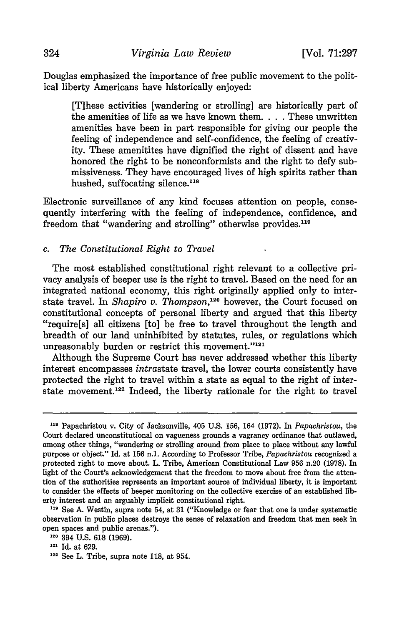Douglas emphasized the importance of free public movement to the political liberty Americans have historically enjoyed:

[T]hese activities [wandering or strolling] are historically part of the amenities of life as we have known them. . **.** .These unwritten amenities have been in part responsible for giving our people the feeling of independence and self-confidence, the feeling of creativity. These amenitites have dignified the right of dissent and have honored the right to be nonconformists and the right to defy submissiveness. They have encouraged lives of high spirits rather than hushed, suffocating silence.<sup>118</sup>

Electronic surveillance of any kind focuses attention on people, consequently interfering with the feeling of independence, confidence, and freedom that "wandering and strolling" otherwise provides.<sup>119</sup>

#### *c. The Constitutional Right to Travel*

The most established constitutional right relevant to a collective privacy analysis of beeper use is the right to travel. Based on the need for an integrated national economy, this right originally applied only to interstate travel. In *Shapiro v. Thompson*,<sup>120</sup> however, the Court focused on constitutional concepts of personal liberty and argued that this liberty "require[s] all citizens [to] be free to travel throughout the length and breadth of our land uninhibited by statutes, rules, or regulations which unreasonably burden or restrict this movement."121

Although the Supreme Court has never addressed whether this liberty interest encompasses intrastate travel, the lower courts consistently have protected the right to travel within a state as equal to the right of interstate movement.<sup>122</sup> Indeed, the liberty rationale for the right to travel

**<sup>118</sup>** Papachristou v. City of Jacksonville, 405 **U.S.** 156, 164 **(1972).** In *Papachristou,* the Court declared unconstitutional on vagueness grounds a vagrancy ordinance that outlawed, among other things, "wandering or strolling around from place to place without any lawful purpose or object." Id. at 156 n.1. According to Professor Tribe, *Papachristou* recognized a protected right to move about. L. Tribe, American Constitutional Law 956 n.20 (1978). In light of the Court's acknowledgement that the freedom to move about free from the attention of the authorities represents an important source of individual liberty, it is important to consider the effects of beeper monitoring on the collective exercise of an established liberty interest and an arguably implicit constitutional right.

**<sup>119</sup>** See A. Westin, supra note 54, at 31 ("Knowledge or fear that one is under systematic observation in public places destroys the sense of relaxation and freedom that men seek in open spaces and public arenas.").

**<sup>1-20</sup>** 394 U.S. **618** (1969).

<sup>121</sup> Id. at 629.

<sup>&</sup>lt;sup>122</sup> See L. Tribe, supra note 118, at 954.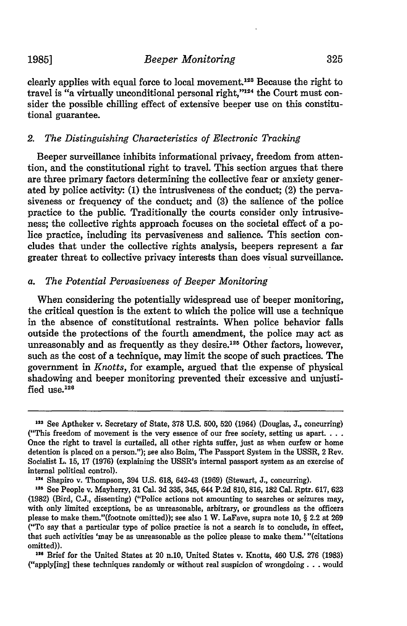clearly applies with equal force to local movement.<sup>123</sup> Because the right to travel is "a virtually unconditional personal right,"<sup>124</sup> the Court must consider the possible chilling effect of extensive beeper use on this constitutional guarantee.

#### *2. The Distinguishing Characteristics of Electronic Tracking*

Beeper surveillance inhibits informational privacy, freedom from attention, and the constitutional right to travel. This section argues that there are three primary factors determining the collective fear or anxiety generated by police activity: (1) the intrusiveness of the conduct; (2) the pervasiveness or frequency of the conduct; and (3) the salience of the police practice to the public. Traditionally the courts consider only intrusiveness; the collective rights approach focuses on the societal effect of a police practice, including its pervasiveness and salience. This section concludes that under the collective rights analysis, beepers represent a far greater threat to collective privacy interests than does visual surveillance.

# *a. The Potential Pervasiveness of Beeper Monitoring*

When considering the potentially widespread use of beeper monitoring, the critical question is the extent to which the police will use a technique in the absence of constitutional restraints. When police behavior falls outside the protections of the fourth amendment, the police may act as unreasonably and as frequently as they desire.<sup>125</sup> Other factors, however, such as the cost of a technique, may limit the scope of such practices. The government in *Knotts,* for example, argued that the expense of physical shadowing and beeper monitoring prevented their excessive and unjustified use. $126$ 

**<sup>123</sup>**See Aptheker v. Secretary of State, **378 U.S.** 500, **520** (1964) (Douglas, **J.,** concurring) ("This freedom of movement is the very essence of our free society, setting us **apart....** Once the right to travel is curtailed, all other rights suffer, just as when curfew or home detention is placed on a person."); see also Boim, The Passport System in the USSR, 2 Rev. Socialist L. 15, 17 (1976) (explaining the USSR's internal passport system as an exercise of internal political control).

**<sup>124</sup>**Shapiro v. Thompson, 394 **U.S. 618,** 642-43 (1969) (Stewart, **J.,** concurring).

**<sup>125</sup>** See People v. Mayberry, 31 Cal. **3d** 335, 345, 644 **P.2d 810,** 816, **182** Cal. Rptr. 617, 623 **(1982)** (Bird, **C.J.,** dissenting) ("Police actions not amounting to searches or seizures may, with only limited exceptions, be as unreasonable, arbitrary, or groundless as the officers please to make them."(footnote omitted)); see also 1 W. LaFave, supra note **10,** § 2.2 at 269 ("To say that a particular type of police practice is not a search is to conclude, in effect, that such activities 'may be as unreasonable as the police please to make them.' "(citations omitted)).

**<sup>126</sup>** Brief for the United States at 20 n.10, United States v. Knotts, 460 **U.S.** 276 **(1983)** ("apply[ing] these techniques randomly or without real suspicion of wrongdoing **...** would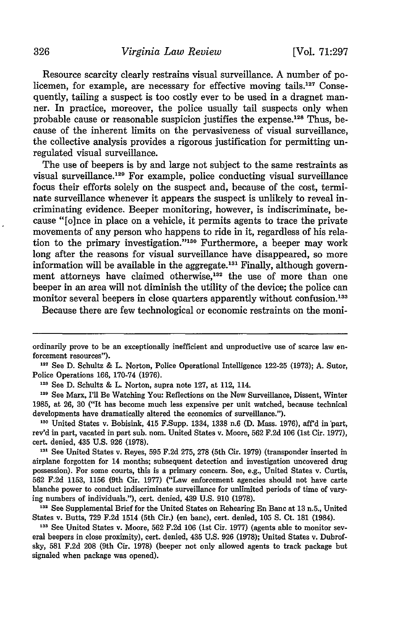Resource scarcity clearly restrains visual surveillance. A number of policemen, for example, are necessary for effective moving **tails.127** Consequently, tailing a suspect is too costly ever to be used in a dragnet manner. In practice, moreover, the police usually tail suspects only when probable cause or reasonable suspicion justifies the expense.<sup>128</sup> Thus, because of the inherent limits on the pervasiveness of visual surveillance, the collective analysis provides a rigorous justification for permitting unregulated visual surveillance.

The use of beepers is by and large not subject to the same restraints as visual surveillance.<sup>129</sup> For example, police conducting visual surveillance focus their efforts solely on the suspect and, because of the cost, terminate surveillance whenever it appears the suspect is unlikely to reveal incriminating evidence. Beeper monitoring, however, is indiscriminate, because "[o]nce in place on a vehicle, it permits agents to trace the private movements of any person who happens to ride in it, regardless of his relation to the primary investigation."<sup>130</sup> Furthermore, a beeper may work long after the reasons for visual surveillance have disappeared, so more information will be available in the aggregate.<sup>131</sup> Finally, although government attorneys have claimed otherwise,<sup>132</sup> the use of more than one beeper in an area will not diminish the utility of the device; the police can monitor several beepers in close quarters apparently without confusion.<sup>133</sup>

Because there are few technological or economic restraints on the moni-

ordinarily prove to be an exceptionally inefficient and unproductive use of scarce law enforcement resources").

**<sup>127</sup>**See D. Schultz & L. Norton, Police Operational Intelligence 122-25 (1973); A. Sutor, Police Operations 166, 170-74 (1976).

**<sup>128</sup>**See D. Schultz & L. Norton, supra note 127, at 112, 114.

<sup>&</sup>lt;sup>129</sup> See Marx, I'll Be Watching You: Reflections on the New Surveillance, Dissent, Winter 1985, at 26, 30 ("It has become much less expensive per unit watched, because technical developments have dramatically altered the economics of surveillance.").

**<sup>130</sup>**United States v. Bobisink, 415 F.Supp. 1334, 1338 n.6 (D. Mass. 1976), aff'd in part, rev'd in part, vacated in part sub. nom. United States v. Moore, 562 F.2d 106 (1st Cir. 1977), cert. denied, 435 U.S. 926 (1978).

<sup>&</sup>lt;sup>131</sup> See United States v. Reyes, 595 F.2d 275, 278 (5th Cir. 1979) (transponder inserted in airplane forgotten for 14 months; subsequent detection and investigation uncovered drug possession). For some courts, this is a primary concern. See, e.g., United States v. Curtis, 562 F.2d 1153, 1156 (9th Cir. 1977) ("Law enforcement agencies should not have carte blanche power to conduct indiscriminate surveillance for unlimited periods of time of varying numbers of individuals."), cert. denied, 439 U.S. 910 (1978).

<sup>&</sup>lt;sup>132</sup> See Supplemental Brief for the United States on Rehearing En Banc at 13 n.5., United States v. Butts, 729 F.2d 1514 (5th Cir.) (en banc), cert. denied, 105 **S.** Ct. 181 (1984).

**<sup>122</sup>** See United States v. Moore, 562 F.2d 106 (1st Cir. 1977) (agents able to monitor several beepers in close proximity), cert. denied, 435 U.S. 926 (1978); United States v. Dubrofsky, 581 F.2d 208 (9th Cir. 1978) (beeper not only allowed agents to track package but signaled when package was opened).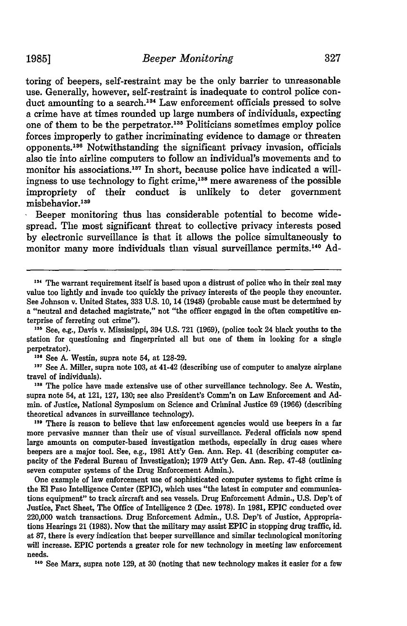toring of beepers, self-restraint may be the only barrier to unreasonable use. Generally, however, self-restraint is inadequate to control police conduct amounting to a search.<sup>134</sup> Law enforcement officials pressed to solve a crime have at times rounded up large numbers of individuals, expecting one of them to be the perpetrator.<sup>135</sup> Politicians sometimes employ police forces improperly to gather incriminating evidence to damage or threaten opponents. 136 Notwithstanding the significant privacy invasion, officials also tie into airline computers to follow an individual's movements and to monitor his associations.<sup>137</sup> In short, because police have indicated a willingness to use technology to fight crime,<sup>138</sup> mere awareness of the possible impropriety of their conduct is unlikely to deter government misbehavior.<sup>139</sup>

Beeper monitoring thus has considerable potential to become widespread. The most significant threat to collective privacy interests posed **by** electronic surveillance is that it allows the police simultaneously to monitor many more individuals than visual surveillance permits.<sup>140</sup> Ad-

**<sup>137</sup>**See **A.** Miller, supra note **103,** at 41-42 (describing use of computer to analyze airplane travel of individuals).

<sup>138</sup> The police have made extensive use of other surveillance technology. See A. Westin, supra note 54, at 121, **127, 130;** see also President's Comm'n on Law Enforcement and **Admin.** of Justice, National Symposium on Science and Criminal Justice **69 (1966)** (describing theoretical advances in surveillance technology).<br>
<sup>139</sup> There is reason to believe that law enforcement agencies would use beepers in a far

more pervasive manner than their use of visual surveillance. Federal officials now spend large amounts on computer-based investigation methods, especially in drug cases where beepers are a major tool. See, e.g., **1981** Att'y Gen. Ann. Rep. 41 (describing computer capacity of the Federal Bureau of Investigation); **1979 Att'y** Gen. Ann. Rep. 47-48 (outlining seven computer systems of the Drug Enforcement Admin.).

One example of law enforcement use of sophisticated computer systems to fight crime is the **El** Paso Intelligence Center (EPIC), which uses "the latest in computer and communications equipment" to track aircraft and sea vessels. Drug Enforcement Admin., **U.S.** Dep't of Justice, Fact Sheet, The Office of Intelligence 2 (Dec. **1978).** In **1981,** EPIC conducted over 220,000 watch transactions. Drug Enforcement Admin., **U.S.** Dep't of Justice, Appropriations Hearings 21 **(1983).** Now that the military may assist EPIC in stopping drug traffic, id. at **87,** there is every indication that beeper surveillance and similar technological monitoring will increase. EPIC portends a greater role for new technology in meeting law enforcement needs.

**110** See Marx, supra note **129,** at **30** (noting that new technology makes it easier for a few

<sup>&</sup>lt;sup>134</sup> The warrant requirement itself is based upon a distrust of police who in their zeal may value too lightly and invade too quickly the privacy interests of the people they encounter. See Johnson v. United States, **333 U.S. 10,** 14 (1948) (probable cause must be determined **by** a "neutral and detached magistrate," not "the officer engaged in the often competitive enterprise of ferreting out crime").

**M** See, e.g., Davis v. Mississippi, 394 **U.S. 721 (1969),** (police took 24 black youths to the station for questioning and fingerprinted all but one of them in looking for a single perpetrator).

**<sup>136</sup>**See **A.** Westin, supra note 54, at **128-29.**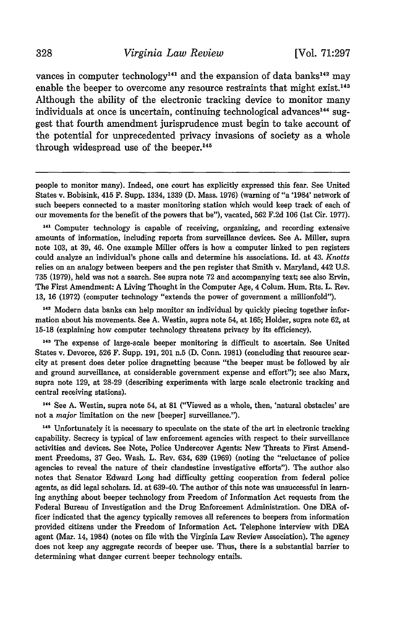# *Virginia Law Review* [Vol. 71:297

vances in computer technology<sup>141</sup> and the expansion of data banks<sup>142</sup> may enable the beeper to overcome any resource restraints that might exist.<sup>143</sup> Although the ability of the electronic tracking device to monitor many individuals at once is uncertain, continuing technological advances<sup>144</sup> suggest that fourth amendment jurisprudence must begin to take account of the potential for unprecedented privacy invasions of society as a whole through widespread use of the beeper.<sup>145</sup>

people to monitor many). Indeed, one court has explicitly expressed this fear. See United States v. Bobisink, 415 F. Supp. 1334, 1339 (D. Mass. 1976) (warning of "a '1984' network of such beepers connected to a master monitoring station which would keep track of each of our movements for the benefit of the powers that be"), vacated, 562 F.2d 106 (1st Cir. 1977).

<sup>141</sup>Computer technology is capable of receiving, organizing, and recording extensive amounts of information, including reports from surveillance devices. See A. Miller, supra note 103, at 39, 46. One example Miller offers is how a computer linked to pen registers could analyze an individual's phone calls and determine his associations. Id. at 43. *Knotts* relies on an analogy between beepers and the pen register that Smith v. Maryland, 442 U.S. 735 (1979), held was not a search. See supra note 72 and accompanying text; see also Ervin, The First Amendment: A Living Thought in the Computer Age, 4 Colum. Hum. Rts. L. Rev. 13, 16 (1972) (computer technology "extends the power of government a millionfold").

**142** Modern data banks can help monitor an individual by quickly piecing together information about his movements. See A. Westin, supra note 54, at 165; Holder, supra note 62, at 15-18 (explaining how computer technology threatens privacy by its efficiency).

<sup>143</sup>The expense of large-scale beeper monitoring is difficult to ascertain. See United States v. Devorce, 526 F. Supp. 191, 201 n.5 (D. Conn. 1981) (concluding that resource scarcity at present does deter police dragnetting because "the beeper must be followed by air and ground surveillance, at considerable government expense and effort"); see also Marx, supra note 129, at 28-29 (describing experiments with large scale electronic tracking and central receiving stations).

<sup>144</sup> See A. Westin, supra note 54, at 81 ("Viewed as a whole, then, 'natural obstacles' are not a *major* limitation on the new [beeper] surveillance.").

<sup>145</sup> Unfortunately it is necessary to speculate on the state of the art in electronic tracking capability. Secrecy is typical of law enforcement agencies with respect to their surveillance activities and devices. See Note, Police Undercover Agents: New Threats to First Amendment Freedoms, 37 Geo. Wash. L. Rev. 634, 639 (1969) (noting the "reluctance of police agencies to reveal the nature of their clandestine investigative efforts"). The author also notes that Senator Edward Long had difficulty getting cooperation from federal police agents, as did legal scholars. Id. at 639-40. The author of this note was unsuccessful in learning anything about beeper technology from Freedom of Information Act requests from the Federal Bureau of Investigation and the Drug Enforcement Administration. One DEA officer indicated that the agency typically removes all references to beepers from information provided citizens under the Freedom of Information Act. Telephone interview with **DEA** agent (Mar. 14, 1984) (notes on file with the Virginia Law Review Association). The agency does not keep any aggregate records of beeper use. Thus, there is a substantial barrier to determining what danger current beeper technology entails.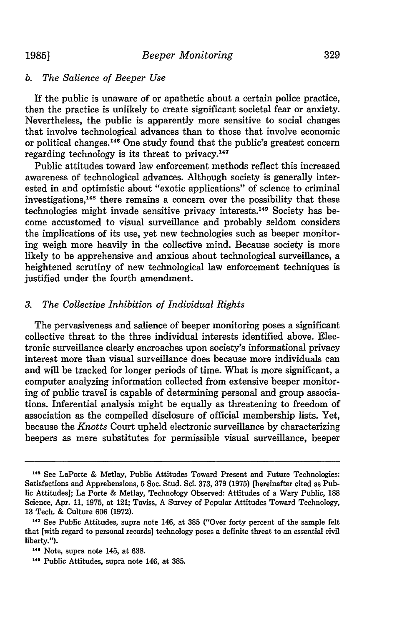# *b. The Salience of Beeper Use*

If the public is unaware of or apathetic about a certain police practice, then the practice is unlikely to create significant societal fear or anxiety. Nevertheless, the public is apparently more sensitive to social changes that involve technological advances than to those that involve economic or political changes.<sup>146</sup> One study found that the public's greatest concern regarding technology is its threat to privacy.<sup>14</sup>

Public attitudes toward law enforcement methods reflect this increased awareness of technological advances. Although society is generally interested in and optimistic about "exotic applications" of science to criminal investigations, 148 there remains a concern over the possibility that these technologies might invade sensitive privacy interests.<sup>149</sup> Society has become accustomed to visual surveillance and probably seldom considers the implications of its use, yet new technologies such as beeper monitoring weigh more heavily in the collective mind. Because society is more likely to be apprehensive and anxious about technological surveillance, a heightened scrutiny of new technological law enforcement techniques is justified under the fourth amendment.

# *3. The Collective Inhibition of Individual Rights*

The pervasiveness and salience of beeper monitoring poses a significant collective threat to the three individual interests identified above. Electronic surveillance clearly encroaches upon society's informational privacy interest more than visual surveillance does because more individuals can and will be tracked for longer periods of time. What is more significant, a computer analyzing information collected from extensive beeper monitoring of public travel is capable of determining personal and group associations. Inferential analysis might be equally as threatening to freedom of association as the compelled disclosure of official membership lists. Yet, because the *Knotts* Court upheld electronic surveillance by characterizing beepers as mere substitutes for permissible visual surveillance, beeper

**<sup>14&#</sup>x27;** See LaPorte & Metlay, Public Attitudes Toward Present and Future Technologies: Satisfactions and Apprehensions, 5 Soc. Stud. Sci. 373, 379 (1975) [hereinafter cited as Public Attitudes]; La Porte & Metlay, Technology Observed: Attitudes of a Wary Public, 188 Science, Apr. 11, 1975, at 121; Taviss, A Survey of Popular Attitudes Toward Technology, 13 Tech. & Culture 606 (1972).

**<sup>147</sup>**See Public Attitudes, supra note 146, at 385 ("Over forty percent of the sample felt that [with regard to personal records] technology poses a definite threat to an essential civil liberty.").

**<sup>148</sup>**Note, supra note 145, at 638.

**<sup>&</sup>quot;'** Public Attitudes, supra note 146, at 385.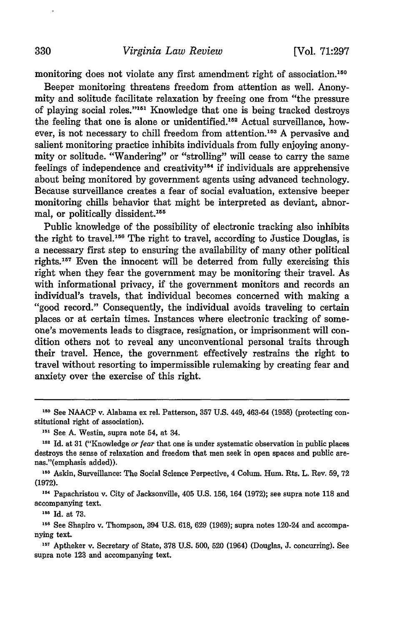monitoring does not violate any first amendment right of association.<sup>150</sup>

Beeper monitoring threatens freedom from attention as well. Anonymity and solitude facilitate relaxation **by** freeing one from "the pressure of playing social roles."<sup>151</sup> Knowledge that one is being tracked destroys the feeling that one is alone or unidentified.<sup>152</sup> Actual surveillance, however, is not necessary to chill freedom from attention.<sup>153</sup> A pervasive and salient monitoring practice inhibits individuals from **fully** enjoying anonymity or solitude. "Wandering" or "strolling" will cease to carry the same feelings of independence and creativity<sup>154</sup> if individuals are apprehensive about being monitored **by** government agents using advanced technology. Because surveillance creates a fear of social evaluation, extensive beeper monitoring chills behavior that might be interpreted as deviant, abnormal, or politically dissident.<sup>155</sup>

Public knowledge of the possibility of electronic tracking also inhibits the right to travel.<sup>156</sup> The right to travel, according to Justice Douglas, is a necessary first step to ensuring the availability of many other political rights.<sup>157</sup> Even the innocent will be deterred from fully exercising this right when they fear the government may be monitoring their travel. As with informational privacy, if the government monitors and records an individual's travels, that individual becomes concerned with making a "good record." Consequently, the individual avoids traveling to certain places or at certain times. Instances where electronic tracking of someone's movements leads to disgrace, resignation, or imprisonment will condition others not to reveal any unconventional personal traits through their travel. Hence, the government effectively restrains the right to travel without resorting to impermissible rulemaking **by** creating fear and anxiety over the exercise of this right.

**155 Id.** at **73.**

**<sup>157</sup>**Aptheker v. Secretary of State, 378 U.S. 500, 520 (1964) (Douglas, J. concurring). See supra note 123 and accompanying text.

**<sup>110</sup>** See **NAACP** v. Alabama ex rel. Patterson, **357 U.S.** 449, 463-64 **(1958)** (protecting constitutional right of association).

**<sup>151</sup>** See **A.** Westin, supra note 54, at 34.

**<sup>152</sup>**Id. at **31** ("Knowledge *or* fear that one is under systematic observation in public places destroys the sense of relaxation and freedom that men seek in open spaces and public arenas."(emphasis added)).

**<sup>153</sup>**Askin, Surveillance: The Social Science Perpective, 4 Colum. Hum. Rts. L. Rev. **59, 72** (1972).

**<sup>15</sup>**Papachristou v. City of Jacksonville, 405 U.S. 156, 164 (1972); see supra note 118 and accompanying text.

**<sup>156</sup>** See Shapiro v. Thompson, 394 U.S. 618, 629 (1969); supra notes 120-24 and accompanying text.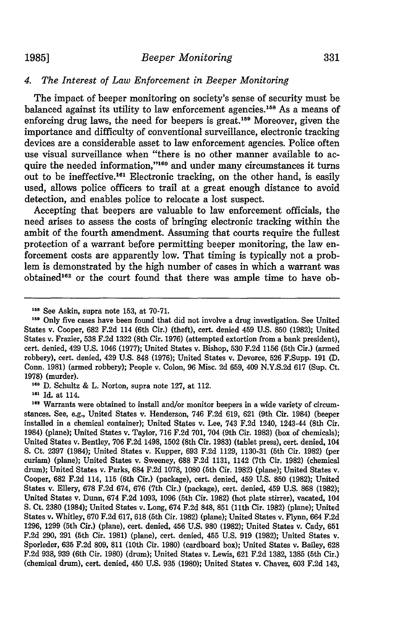# *4. The Interest of Law Enforcement in Beeper Monitoring*

The impact of beeper monitoring on society's sense of security must be balanced against its utility to law enforcement agencies.<sup>158</sup> As a means of enforcing drug laws, the need for beepers is great.<sup>159</sup> Moreover, given the importance and difficulty of conventional surveillance, electronic tracking devices are a considerable asset to law enforcement agencies. Police often use visual surveillance when "there is no other manner available to acquire the needed information, **"160** and under many circumstances it turns out to be ineffective.<sup>161</sup> Electronic tracking, on the other hand, is easily used, allows police officers to trail at a great enough distance to avoid detection, and enables police to relocate a lost suspect.

Accepting that beepers are valuable to law enforcement officials, the need arises to assess the costs of bringing electronic tracking within the ambit of the fourth amendment. Assuming that courts require the fullest protection of a warrant before permitting beeper monitoring, the law enforcement costs are apparently low. That timing is typically not a problem is demonstrated by the high number of cases in which a warrant was obtained<sup>162</sup> or the court found that there was ample time to have ob-

**161** Id. at 114.

**161** Warrants were obtained to install and/or monitor beepers in a wide variety of circumstances. See, e.g., United States v. Henderson, 746 **F.2d 619, 621** (9th Cir. 1984) (beeper installed in a chemical container); United States v. Lee, 743 **F.2d** 1240, 1243-44 (8th Cir. 1984) (plane); United States v. Taylor, **716 F.2d 701,** 704 (9th Cir. **1983)** (box of chemicals); United States v. Bentley, **706 F.2d** 1498, **1502** (8th Cir. **1983)** (tablet press), cert. denied, 104 **S.** Ct. **2397** (1984); United States v. Kupper, **693 F.2d 1129, 1130-31** (5th Cir. **1982)** (per curiam) (plane); United States v. Sweeney, **688 F.2d 1131,** 1142 (7th Cir. **1982)** (chemical drum); United States v. Parks, 684 **F.2d 1078, 1080** (5th Cir. **1982)** (plane); United States v. Cooper, **682 F.2d** 114, **115** (6th Cir.) (package), cert. denied, 459 **U.S. 850 (1982);** United States v. Ellery, **678 F.2d** 674, **676** (7th Cir.) (package), cert. denied, 459 **U.S. 868 (1982);** United States v. Dunn, 674 **F.2d 1093, 1096** (5th Cir. **1982)** (hot plate stirrer), vacated, 104 **S.** Ct. **2380** (1984); United States v. Long, 674 **F.2d 848, 851** (11th Cir. **1982)** (plane); United States v. Whitley, **670 F.2d 617, 618** (5th Cir. **1982)** (plane); United States v. Flynn, 664 **F.2d 1296, 1299** (5th **Cir.)** (plane), cert. denied, 456 **U.S. 980 (1982);** United States v. Cady, **651 F.2d 290, 291** (5th Cir. **1981)** (plane), cert. denied, 455 **U.S. 919 (1982);** United States v. Sporleder, **635 F.2d 809, 811** (10th Cir. **1980)** (cardboard box); United States v. Bailey, **628 F.2d 938, 939** (6th Cir. **1980)** (drum); United States v. Lewis, **621 F.2d 1382, 1385** (5th Cir.) (chemical drum), cert. denied, 450 **U.S. 935 (1980);** United States v. Chavez, **603 F.2d** 143,

**<sup>&#</sup>x27;59** See Askin, supra note **153,** at **70-71.**

**<sup>159</sup>** Only five cases have been found that did not involve a drug investigation. See United States v. Cooper, **682 F.2d** 114 (6th Cir.) (theft), cert. denied 459 **U.S. 850 (1982);** United States v. Frazier, **538 F.2d 1322** (8th Cir. **1976)** (attempted extortion from a bank president), cert. denied, 429 **U.S.** 1046 **(1977);** United States v. Bishop, **530 F.2d 1156** (5th Cir.) (armed robbery), cert. denied, 429 **U.S. 848 (1976);** United States v. Devorce, **526** F.Supp. **191 (D.** Conn. **1981)** (armed robbery); People v. Colon, **96** Misc. **2d 659,** 409 **N.Y.S.2d 617** (Sup. Ct. **1978)** (murder). **160 D.** Schultz & L. Norton, supra note **127,** at 112.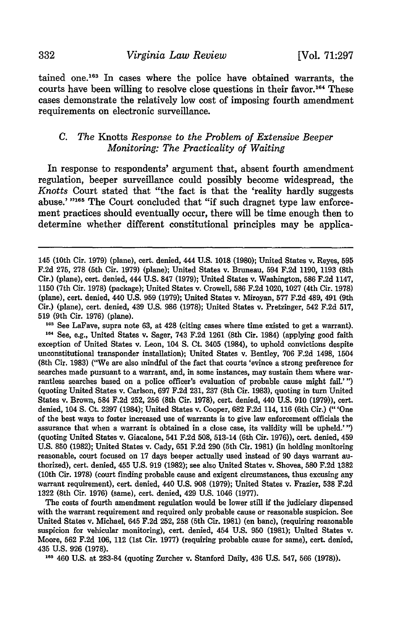*Virginia Law Review*

tained one.<sup>163</sup> In cases where the police have obtained warrants, the courts have been willing to resolve close questions in their favor.164 These cases demonstrate the relatively low cost of imposing fourth amendment requirements on electronic surveillance.

# *C. The* Knotts *Response to the Problem of Extensive Beeper Monitoring: The Practicality of Waiting*

In response to respondents' argument that, absent fourth amendment regulation, beeper surveillance could possibly become widespread, the *Knotts* Court stated that "the fact is that the 'reality hardly suggests abuse.' "<sup>165</sup> The Court concluded that "if such dragnet type law enforcement practices should eventually occur, there will be time enough then to determine whether different constitutional principles may be applica-

**<sup>103</sup>**See LaFave, supra note 63, at 428 (citing cases where time existed to get a warrant).  $164$  See, e.g., United States v. Sager, 743 F.2d 1261 (8th Cir. 1984) (applying good faith exception of United States v. Leon, 104 **S.** Ct. 3405 (1984), to uphold convictions despite unconstitutional transponder installation); United States v. Bentley, 706 F.2d 1498, 1504 (8th Cir. 1983) ("We are also mindful of the fact that courts 'evince a strong preference for searches made pursuant to a warrant, and, in some instances, may sustain them where warrantless searches based on a police officer's evaluation of probable cause might fail.' **")** (quoting United States v. Carlson, 697 F.2d 231, 237 (8th Cir. 1983), quoting in turn United States v. Brown, 584 F.2d 252, 256 (8th Cir. 1978), cert. denied, 440 U.S. 910 (1979)), cert. denied, 104 **S.** Ct. 2397 (1984); United States v. Cooper, 682 F.2d 114, **116** (6th Cir.) **("** 'One of the best ways to foster increased use of warrants is to give law enforcement officials the assurance that when a warrant is obtained in a close case, its validity will be upheld.' **")** (quoting United States v. Giacalone, 541 F.2d 508, 513-14 (6th Cir. 1976)), cert. denied, 459 U.S. **850** (1982); United States v. Cady, **651** F.2d 290 (5th Cir. 1981) (in holding monitoring reasonable, court focused on 17 days beeper actually used instead of 90 days warrant authorized), cert. denied, 455 U.S. 919 (1982); see also United States v. Shovea, 580 F.2d 1382 (10th Cir. 1978) (court finding probable cause and exigent circumstances, thus excusing any warrant requirement), cert. denied, 440 U.S. 908 (1979); United States v. Frazier, **538** F.2d 1322 (8th Cir. 1976) (same), cert. denied, 429 U.S. 1046 (1977).

The costs of fourth amendment regulation would be lower still if the judiciary dispensed with the warrant requirement and required only probable cause or reasonable suspicion. See United States v. Michael, 645 F.2d 252, 258 (5th Cir. 1981) (en banc), (requiring reasonable suspicion for vehicular monitoring), cert. denied, 454 U.S. 950 (1981); United States v. Moore, **562** F.2d 106, 112 (1st Cir. 1977) (requiring probable cause for same), cert. denied, 435 U.S. 926 (1978).

**<sup>165</sup>**460 U.S. at 283-84 (quoting Zurcher v. Stanford Daily, 436 U.S. 547, 566 (1978)).

332

<sup>145 (10</sup>th Cir. 1979) (plane), cert. denied, 444 U.S. 1018 **(1980);** United States v. Reyes, **595** F.2d 275, 278 (5th Cir. 1979) (plane); United States v. Bruneau, 594 F.2d 1190, 1193 (8th Cir.) (plane), cert. denied, 444 U.S. 847 (1979); United States v. Washington, 586 F.2d 1147, 1150 (7th Cir. 1978) (package); United States v. Crowell, 586 F.2d 1020, 1027 (4th Cir. **1978)** (plane), cert. denied, 440 U.S. 959 (1979); United States v. Miroyan, 577 F.2d 489, 491 (9th Cir.) (plane), cert. denied, 439 U.S. 986 (1978); United States v. Pretzinger, 542 F.2d 517, 519 (9th Cir. 1976) (plane).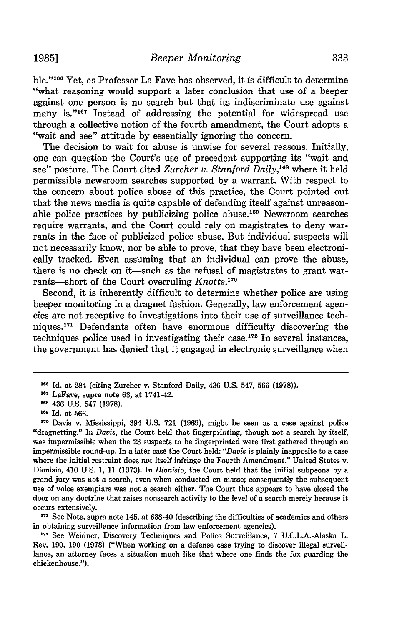ble."<sup>166</sup> Yet, as Professor La Fave has observed, it is difficult to determine "what reasoning would support a later conclusion that use of a beeper against one person is no search but that its indiscriminate use against many is."<sup>167</sup> Instead of addressing the potential for widespread use through a collective notion of the fourth amendment, the Court adopts a "wait and see" attitude by essentially ignoring the concern.

The decision to wait for abuse is unwise for several reasons. Initially, one can question the Court's use of precedent supporting its "wait and see" posture. The Court cited *Zurcher v. Stanford Daily,16 <sup>8</sup>*where it held permissible newsroom searches supported by a warrant. With respect to the concern about police abuse of this practice, the Court pointed out that the news media is quite capable of defending itself against unreasonable police practices by publicizing police abuse.169 Newsroom searches require warrants, and the Court could rely on magistrates to deny warrants in the face of publicized police abuse. But individual suspects will not necessarily know, nor be able to prove, that they have been electronically tracked. Even assuming that an individual can prove the abuse, there is no check on it—such as the refusal of magistrates to grant warrants-short of the Court overruling *Knotts*.<sup>170</sup>

Second, it is inherently difficult to determine whether police are using beeper monitoring in a dragnet fashion. Generally, law enforcement agencies are not receptive to investigations into their use of surveillance techniques.17 1 Defendants often have enormous difficulty discovering the techniques police used in investigating their case.<sup>172</sup> In several instances, the government has denied that it engaged in electronic surveillance when

**<sup>171</sup>**See Note, supra note 145, at **638-40** (describing the difficulties of academics and others in obtaining surveillance information from law enforcement agencies).

**<sup>172</sup>**See Weidner, Discovery Techniques and Police Surveillance, **7** U.C.L.A.-Alaska L. Rev. 190, **190 (1978)** ("When working on a defense case trying to discover illegal surveillance, an attorney faces a situation much like that where one finds the fox guarding the chickenhouse.").

**<sup>168</sup>**Id. at 284 (citing Zurcher v. Stanford Daily, 436 U.S. 547, 566 (1978)).

**<sup>1&#</sup>x27;7** LaFave, supra note **63,** at 1741-42.

**<sup>168</sup>** 436 U.S. 547 (1978).

**<sup>169</sup>** Id. at 566.

**<sup>170</sup>**Davis v. Mississippi, 394 U.S. 721 (1969), might be seen as a case against police "dragnetting." In *Davis,* the Court held that fingerprinting, though not a search by itself, was impermissible when the **23** suspects to be fingerprinted were first gathered through an impermissible round-up. In a later case the Court held: *"Davis* is plainly inapposite to a case where the initial restraint does not itself infringe the Fourth Amendment." United States v. Dionisio, 410 U.S. 1, 11 (1973). In *Dionisio,* the Court held that the initial subpeona by a grand jury was not a search, even when conducted en masse; consequently the subsequent use of voice exemplars was not a search either. The Court thus appears to have closed the door on any doctrine that raises nonsearch activity to the level of a search merely because it occurs extensively.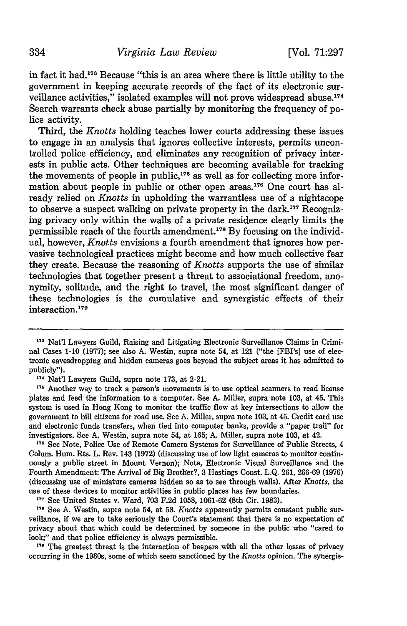in fact it had.'17 Because "this is an area where there is little utility to the government in keeping accurate records of the fact of its electronic surveillance activities," isolated examples will not prove widespread abuse.<sup>174</sup> Search warrants check abuse partially by monitoring the frequency of police activity.

Third, the *Knotts* holding teaches lower courts addressing these issues to engage in an analysis that ignores collective interests, permits uncontrolled police efficiency, and eliminates any recognition of privacy interests in public acts. Other techniques are becoming available for tracking the movements of people in public,<sup>175</sup> as well as for collecting more information about people in public or other open areas.<sup>176</sup> One court has already relied on *Knotts* in upholding the warrantless use of a nightscope to observe a suspect walking on private property in the dark.<sup>177</sup> Recognizing privacy only within the walls of a private residence clearly limits the permissible reach of the fourth amendment.<sup>178</sup> By focusing on the individual, however, *Knotts* envisions a fourth amendment that ignores how pervasive technological practices might become and how much collective fear they create. Because the reasoning of *Knotts* supports the use of similar technologies that together present a threat to associational freedom, anonymity, solitude, and the right to travel, the most significant danger of these technologies is the cumulative and synergistic effects of their interaction.<sup>179</sup>

**<sup>176</sup>**See Note, Police Use of Remote Camera Systems for Surveillance of Public Streets, 4 Colum. Hum. Rts. L. Rev. 143 (1972) (discussing use of low light cameras to monitor continuously a public street in Mount Vernon); Note, Electronic Visual Surveillance and the Fourth Amendment: The Arrival of Big Brother?, 3 Hastings Const. L.Q. 261, 266-69 (1976) (discussing use of miniature cameras hidden so as to see through walls). After *Knotts,* the use of these devices to monitor activities in public places has few boundaries.

**<sup>177</sup>**See United States v. Ward, 703 F.2d 1058, 1061-62 (8th Cir. 1983).

**178** See A. Westin, supra note 54, at 58. *Knotts* apparently permits constant public surveillance, if we are to take seriously the Court's statement that there is no expectation of privacy about that which could be determined by someone in the public who "cared to look;" and that police efficiency is always permissible.

**<sup>179</sup>**The greatest threat is the interaction of beepers with all the other losses of privacy occurring in the 1980s, some of which seem sanctioned by the *Knotts* opinion. The synergis-

**<sup>173</sup>** Nat'l Lawyers Guild, Raising and Litigating Electronic Surveillance Claims in Criminal Cases 1-10 (1977); see also A. Westin, supra note 54, at 121 ("the [FBI's] use of electronic eavesdropping and hidden cameras goes beyond the subject areas it has admitted to publicly").

<sup>&</sup>lt;sup>174</sup> Nat'l Lawyers Guild, supra note 173, at 2-21.

**<sup>175</sup>**Another way to track a person's movements is to use optical scanners to read license plates and feed the information to a computer. See A. Miller, supra note 103, at 45. This system is used in Hong Kong to monitor the traffic flow at key intersections to allow the government to bill citizens for road use. See A. Miller, supra note 103, at 45. Credit card use and electronic funds transfers, when tied into computer banks, provide a "paper trail" for investigators. See A. Westin, supra note 54, at 165; A. Miller, supra note 103, at 42.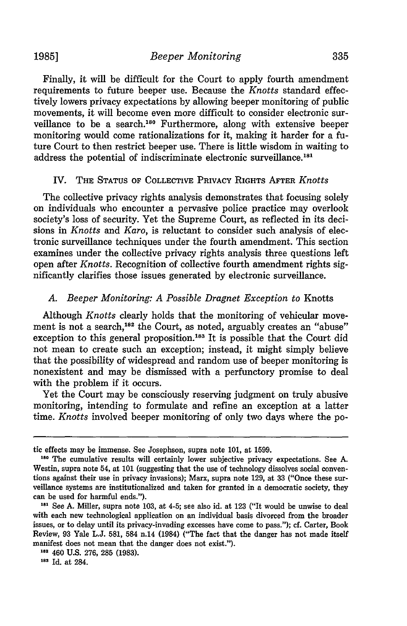Finally, it will be difficult for the Court to apply fourth amendment requirements to future beeper use. Because the *Knotts* standard effectively lowers privacy expectations by allowing beeper monitoring of public movements, it will become even more difficult to consider electronic surveillance to be a search.<sup>180</sup> Furthermore, along with extensive beeper monitoring would come rationalizations for it, making it harder for a future Court to then restrict beeper use. There is little wisdom in waiting to address the potential of indiscriminate electronic surveillance.<sup>181</sup>

# IV. THE **STATUS** OF **COLLECTIVE** PRIVACY RIGHTS AFTER *Knotts*

The collective privacy rights analysis demonstrates that focusing solely on individuals who encounter a pervasive police practice may overlook society's loss of security. Yet the Supreme Court, as reflected in its decisions in *Knotts* and *Karo,* is reluctant to consider such analysis of electronic surveillance techniques under the fourth amendment. This section examines under the collective privacy rights analysis three questions left open after *Knotts.* Recognition of collective fourth amendment rights significantly clarifies those issues generated by electronic surveillance.

# *A. Beeper Monitoring: A Possible Dragnet Exception to* Knotts

Although *Knotts* clearly holds that the monitoring of vehicular movement is not a search,<sup>182</sup> the Court, as noted, arguably creates an "abuse" exception to this general proposition.<sup>183</sup> It is possible that the Court did not mean to create such an exception; instead, it might simply believe that the possibility of widespread and random use of beeper monitoring is nonexistent and may be dismissed with a perfunctory promise to deal with the problem if it occurs.

Yet the Court may be consciously reserving judgment on truly abusive monitoring, intending to formulate and refine an exception at a latter time. *Knotts* involved beeper monitoring of only two days where the po-

tic effects may be immense. See Josephson, supra note 101, at 1599.

**<sup>&#</sup>x27;80** The cumulative results will certainly lower subjective privacy expectations. See A. Westin, supra note 54, at 101 (suggesting that the use of technology dissolves social conventions against their use in privacy invasions); Marx, supra note 129, at 33 ("Once these surveillance systems are institutionalized and taken for granted in a democratic society, they can be used for harmful ends.").

**<sup>&</sup>quot;81** See A. Miller, supra note 103, at 4-5; see also id. at 123 ("It would be unwise to deal with each new technological application on an individual basis divorced from the broader issues, or to delay until its privacy-invading excesses have come to pass."); cf. Carter, Book Review, 93 Yale L.J. 581, 584 n.14 (1984) ("The fact that the danger has not made itself manifest does not mean that the danger does not exist.").

<sup>182 460</sup> U.S. 276, 285 (1983).

**<sup>183</sup>**Id. at 284.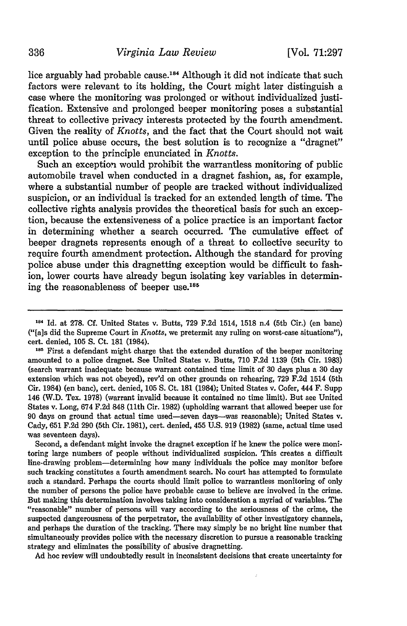lice arguably had probable cause.<sup>184</sup> Although it did not indicate that such factors were relevant to its holding, the Court might later distinguish a case where the monitoring was prolonged or without individualized justification. Extensive and prolonged beeper monitoring poses a substantial threat to collective privacy interests protected by the fourth amendment. Given the reality of *Knotts,* and the fact that the Court should not wait until police abuse occurs, the best solution is to recognize a "dragnet" exception to the principle enunciated in *Knotts.*

Such an exception would prohibit the warrantless monitoring of public automobile travel when conducted in a dragnet fashion, as, for example, where a substantial number of people are tracked without individualized suspicion, or an individual is tracked for an extended length of time. The collective rights analysis provides the theoretical basis for such an exception, because the extensiveness of a police practice is an important factor in determining whether a search occurred. The cumulative effect of beeper dragnets represents enough of a threat to collective security to require fourth amendment protection. Although the standard for proving police abuse under this dragnetting exception would be difficult to fashion, lower courts have already begun isolating key variables in determining the reasonableness of beeper use.<sup>185</sup>

Second, a defendant might invoke the dragnet exception if he knew the police were monitoring large numbers of people without individualized suspicion. This creates a difficult line-drawing problem-determining how many individuals the police may monitor before such tracking constitutes a fourth amendment search. No court has attempted to formulate such a standard. Perhaps the courts should limit police to warrantless monitoring of only the number of persons the police have probable cause to believe are involved in the crime. But making this determination involves taking into consideration a myriad of variables. The "reasonable" number of persons will vary according to the seriousness of the crime, the suspected dangerousness of the perpetrator, the availability of other investigatory channels, and perhaps the duration of the tracking. There may simply be no bright line number that simultaneously provides police with the necessary discretion to pursue a reasonable tracking strategy and eliminates the possibility of abusive dragnetting.

Ad hoc review will undoubtedly result in inconsistent decisions that create uncertainty for

**<sup>184</sup>** Id. at **278. Cf.** United States v. Butts, **729 F.2d** 1514, **1518** n.4 (5th Cir.) (en banc) ("[a]s did the Supreme Court in *Knotts,* we pretermit any ruling on worst-case situations"), cert. denied, 105 S. Ct. 181 (1984).

<sup>&</sup>lt;sup>185</sup> First a defendant might charge that the extended duration of the beeper monitoring amounted to a police dragnet. See United States v. Butts, 710 F.2d 1139 (5th Cir. 1983) (search warrant inadequate because warrant contained time limit of 30 days plus a 30 day extension which was not obeyed), rev'd on other grounds on rehearing, 729 F.2d 1514 (5th Cir. 1984) (en banc), cert. denied, 105 **S.** Ct. 181 (1984); United States v. Cofer, 444 F. Supp 146 (W.D. Tex. 1978) (warrant invalid because it contained no time limit). But see United States v. Long, 674 F.2d 848 (11th Cir. 1982) (upholding warrant that allowed beeper use for 90 days on ground that actual time used-seven days-was reasonable); United States v. Cady, **651** F.2d 290 (5th Cir. 1981), cert. denied, 455 U.S. 919 (1982) (same, actual time used was seventeen days).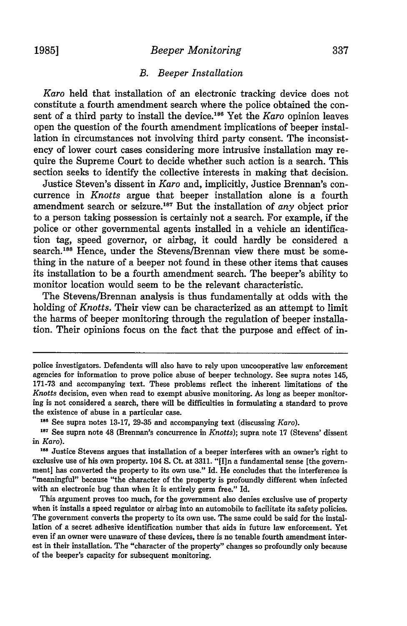# *Beeper Monitoring*

# *B. Beeper Installation*

*Karo* held that installation of an electronic tracking device does not constitute a fourth amendment search where the police obtained the consent of a third party to install the device.<sup>186</sup> Yet the *Karo* opinion leaves open the question of the fourth amendment implications of beeper installation in circumstances not involving third party consent. The inconsistency of lower court cases considering more intrusive installation may require the Supreme Court to decide whether such action is a search. This section seeks to identify the collective interests in making that decision.

Justice Steven's dissent in *Karo* and, implicitly, Justice Brennan's concurrence in *Knotts* argue that beeper installation alone is a fourth amendment search or seizure.<sup>187</sup> But the installation of *any* object prior to a person taking possession is certainly not a search. For example, if the police or other governmental agents installed in a vehicle an identification tag, speed governor, or airbag, it could hardly be considered a search.<sup>188</sup> Hence, under the Stevens/Brennan view there must be something in the nature of a beeper not found in these other items that causes its installation to be a fourth amendment search. The beeper's ability to monitor location would seem to be the relevant characteristic.

The Stevens/Brennan analysis is thus fundamentally at odds with the holding of *Knotts.* Their view can be characterized as an attempt to limit the harms of beeper monitoring through the regulation of beeper installation. Their opinions focus on the fact that the purpose and effect of in-

**<sup>186</sup>**See supra notes 13-17, 29-35 and accompanying text (discussing *Karo).*

police investigators. Defendents will also have to rely upon uncooperative law enforcement agencies for information to prove police abuse of beeper technology. See supra notes 145, 171-73 and accompanying text. These problems reflect the inherent limitations of the *Knotts* decision, even when read to exempt abusive monitoring. As long as beeper monitoring is not considered a search, there will be difficulties in formulating a standard to prove the existence of abuse in a particular case.

<sup>&</sup>lt;sup>187</sup> See supra note 48 (Brennan's concurrence in *Knotts*); supra note 17 (Stevens' dissent in *Karo).*

<sup>&</sup>lt;sup>188</sup> Justice Stevens argues that installation of a beeper interferes with an owner's right to exclusive use of his own property. 104 **S.** Ct. at 3311. "[I]n a fundamental sense [the government] has converted the property to its own use." Id. He concludes that the interference is "meaningful" because "the character of the property is profoundly different when infected with an electronic bug than when it is entirely germ free." Id.

This argument proves too much, for the government also denies exclusive use of property when it installs a speed regulator or airbag into an automobile to facilitate its safety policies. The government converts the property to its own use. The same could be said for the installation of a secret adhesive identification number that aids in future law enforcement. Yet even if an owner were unaware of these devices, there is no tenable fourth amendment interest in their installation. The "character of the property" changes so profoundly only because of the beeper's capacity for subsequent monitoring.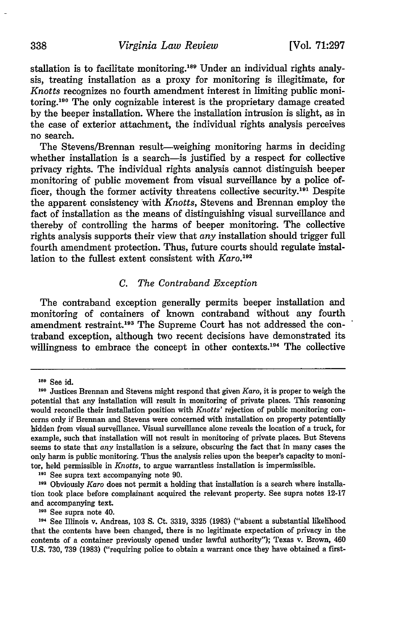stallation is to facilitate monitoring.<sup>189</sup> Under an individual rights analysis, treating installation as a proxy for monitoring is illegitimate, for *Knotts* recognizes no fourth amendment interest in limiting public monitoring.190 The only cognizable interest is the proprietary damage created by the beeper installation. Where the installation intrusion is slight, as in the case of exterior attachment, the individual rights analysis perceives no search.

The Stevens/Brennan result-weighing monitoring harms in deciding whether installation is a search-is justified by a respect for collective privacy rights. The individual rights analysis cannot distinguish beeper monitoring of public movement from visual surveillance by a police officer, though the former activity threatens collective security.<sup>191</sup> Despite the apparent consistency with *Knotts,* Stevens and Brennan employ the fact of installation as the means of distinguishing visual surveillance and thereby of controlling the harms of beeper monitoring. The collective rights analysis supports their view that *any* installation should trigger full fourth amendment protection. Thus, future courts should regulate installation to the fullest extent consistent with *Karo.192*

#### *C. The Contraband Exception*

The contraband exception generally permits beeper installation and monitoring of containers of known contraband without any fourth amendment restraint.193 The Supreme Court has not addressed the contraband exception, although two recent decisions have demonstrated its willingness to embrace the concept in other contexts.<sup>194</sup> The collective

**191** See supra text accompanying note 90.

**193** See supra note 40.

**<sup>189</sup>** See id.

**<sup>190</sup>** Justices Brennan and Stevens might respond that given *Karo,* it is proper to weigh the potential that any installation will result in monitoring of private places. This reasoning would reconcile their installation position with *Knotts'* rejection of public monitoring concerns only if Brennan and Stevens were concerned with installation on property potentially hidden from visual surveillance. Visual surveillance alone reveals the location of a truck, for example, such that installation will not result in monitoring of private places. But Stevens seems to state that *any* installation is a seizure, obscuring the fact that in many cases the only harm is public monitoring. Thus the analysis relies upon the beeper's capacity to monitor, held permissible in *Knotts,* to argue warrantless installation is impermissible.

**<sup>192</sup>** Obviously *Karo* does not permit a holding that installation is a search where installation took place before complainant acquired the relevant property. See supra notes 12-17 and accompanying text.

<sup>194</sup>See Illinois v. Andreas, 103 **S.** Ct. 3319, 3325 (1983) ("absent a substantial likelihood that the contents have been changed, there is no legitimate expectation of privacy in the contents of a container previously opened under lawful authority"); Texas v. Brown, 460 U.S. 730, 739 (1983) ("requiring police to obtain a warrant once they have obtained a first-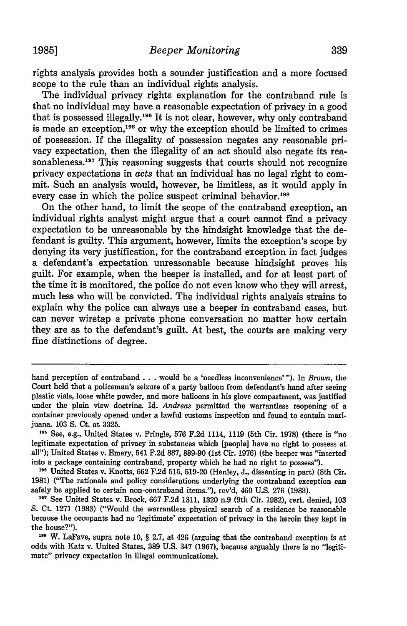rights analysis provides both a sounder justification and a more focused scope to the rule than an individual rights analysis.

The individual privacy rights explanation for the contraband rule is that no individual may have a reasonable expectation of privacy in a good that is possessed illegally.<sup>195</sup> It is not clear, however, why only contraband is made an exception,<sup>196</sup> or why the exception should be limited to crimes of possession. If the illegality of possession negates any reasonable privacy expectation, then the illegality of an act should also negate its reasonableness. **<sup>7</sup>**This reasoning suggests that courts should not recognize privacy expectations in *acts* that an individual has no legal right to commit. Such an analysis would, however, be limitless, as it would apply in every case in which the police suspect criminal behavior.<sup>198</sup>

On the other hand, to limit the scope of the contraband exception, an individual rights analyst might argue that a court cannot find a privacy expectation to be unreasonable by the hindsight knowledge that the defendant is guilty. This argument, however, limits the exception's scope by denying its very justification, for the contraband exception in fact judges a defendant's expectation unreasonable because hindsight proves his guilt. For example, when the beeper is installed, and for at least part of the time it is monitored, the police do not even know who they will arrest, much less who will be convicted. The individual rights analysis strains to explain why the police can always use a beeper in contraband cases, but can never wiretap a private phone conversation no matter how certain they are as to the defendant's guilt. At best, the courts are making very fine distinctions of degree.

196 United States v. Knotts, 662 F.2d 515, 519-20 (Henley, J., dissenting in part) (8th Cir. **1981)** ("The rationale and policy considerations underlying the contraband exception can safely be applied to certain non-contraband items."), rev'd, 460 **U.S. 276 (1983).**

hand perception of contraband **. . .** would be a 'needless inconvenience' "). In *Brown,* the Court held that a policeman's seizure of a party balloon from defendant's hand after seeing plastic vials, loose white powder, and more balloons in his glove compartment, was justified under the plain view doctrine. Id. *Andreas* permitted the warrantless reopening of a container previously opened under a lawful customs inspection and found to contain marijuana. 103 **S.** Ct. at 3325.

**<sup>19</sup>** See, e.g., United States v. Pringle, 576 F.2d 1114, 1119 (5th Cir. 1978) (there is "no legitimate expectation of privacy in substances which [people] have no right to possess at all"); United States v. Emery, 541 F.2d 887, 889-90 (1st Cir. 1976) (the beeper was "inserted into a package containing contraband, property which he had no right to possess").

**<sup>197</sup>**See United States v. Brock, **667 F.2d 1311, 1320** n.9 (9th Cir. **1982),** cert. denied, **103 S.** Ct. **1271 (1983)** ("Would the warrantless physical search of a residence be reasonable because the occupants had no 'legitimate' expectation of privacy in the heroin they kept in the house?").

**<sup>198</sup> W.** LaFave, supra note **10,** § **2.7,** at 426 (arguing that the contraband exception is at odds with Katz v. United States, **389 U.S.** 347 **(1967),** because arguably there is no "legitimate" privacy expectation in illegal communications).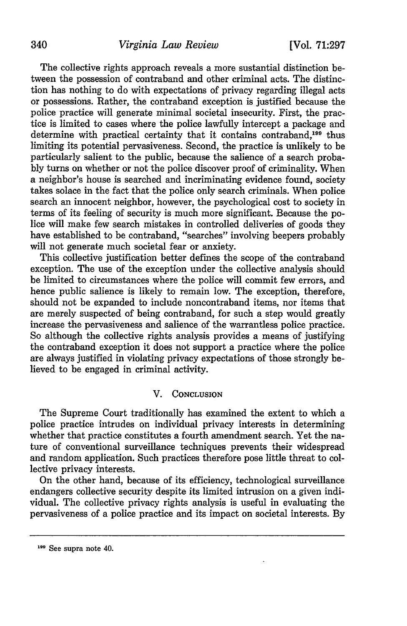# 340 *Virginia Law Review* [Vol. 71:297

The collective rights approach reveals a more sustantial distinction between the possession of contraband and other criminal acts. The distinction has nothing to do with expectations of privacy regarding illegal acts or possessions. Rather, the contraband exception is justified because the police practice will generate minimal societal insecurity. First, the practice is limited to cases where the police lawfully intercept a package and determine with practical certainty that it contains contraband,<sup>199</sup> thus limiting its potential pervasiveness. Second, the practice is unlikely to be particularly salient to the public, because the salience of a search probably turns on whether or not the police discover proof of criminality. When a neighbor's house is searched and incriminating evidence found, society takes solace in the fact that the police only search criminals. When police search an innocent neighbor, however, the psychological cost to society in terms of its feeling of security is much more significant. Because the police will make few search mistakes in controlled deliveries of goods they have established to be contraband, "searches" involving beepers probably will not generate much societal fear or anxiety.

This collective justification better defines the scope of the contraband exception. The use of the exception under the collective analysis should be limited to circumstances where the police will commit few errors, and hence public salience is likely to remain low. The exception, therefore, should not be expanded to include noncontraband items, nor items that are merely suspected of being contraband, for such a step would greatly increase the pervasiveness and salience of the warrantless police practice. So although the collective rights analysis provides a means of justifying the contraband exception it does not support a practice where the police are always justified in violating privacy expectations of those strongly believed to be engaged in criminal activity.

# V. **CONCLUSION**

The Supreme Court traditionally has examined the extent to which a police practice intrudes on individual privacy interests in determining whether that practice constitutes a fourth amendment search. Yet the nature of conventional surveillance techniques prevents their widespread and random application. Such practices therefore pose little threat to collective privacy interests.

On the other hand, because of its efficiency, technological surveillance endangers collective security despite its limited intrusion on a given individual. The collective privacy rights analysis is useful in evaluating the pervasiveness of a police practice and its impact on societal interests. By

**<sup>199</sup>** See supra note **40.**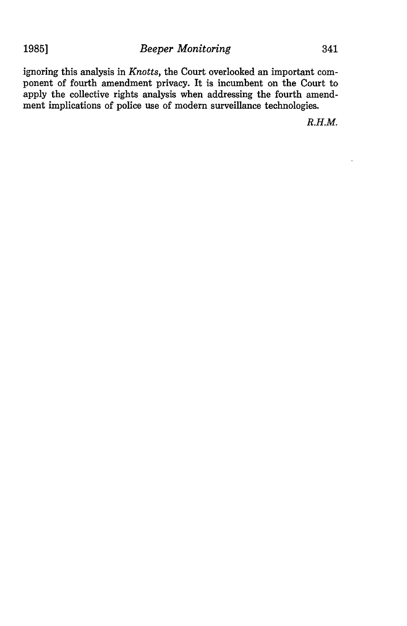ignoring this analysis in *Knotts,* the Court overlooked an important component of fourth amendment privacy. It is incumbent on the Court to apply the collective rights analysis when addressing the fourth amendment implications of police use of modern surveillance technologies.

*R.H.M.*